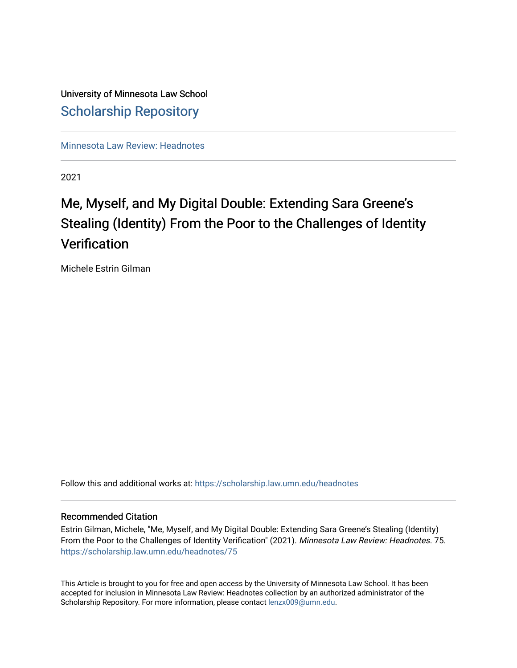## University of Minnesota Law School [Scholarship Repository](https://scholarship.law.umn.edu/)

[Minnesota Law Review: Headnotes](https://scholarship.law.umn.edu/headnotes) 

2021

# Me, Myself, and My Digital Double: Extending Sara Greene's Stealing (Identity) From the Poor to the Challenges of Identity **Verification**

Michele Estrin Gilman

Follow this and additional works at: [https://scholarship.law.umn.edu/headnotes](https://scholarship.law.umn.edu/headnotes?utm_source=scholarship.law.umn.edu%2Fheadnotes%2F75&utm_medium=PDF&utm_campaign=PDFCoverPages) 

#### Recommended Citation

Estrin Gilman, Michele, "Me, Myself, and My Digital Double: Extending Sara Greene's Stealing (Identity) From the Poor to the Challenges of Identity Verification" (2021). Minnesota Law Review: Headnotes. 75. [https://scholarship.law.umn.edu/headnotes/75](https://scholarship.law.umn.edu/headnotes/75?utm_source=scholarship.law.umn.edu%2Fheadnotes%2F75&utm_medium=PDF&utm_campaign=PDFCoverPages)

This Article is brought to you for free and open access by the University of Minnesota Law School. It has been accepted for inclusion in Minnesota Law Review: Headnotes collection by an authorized administrator of the Scholarship Repository. For more information, please contact [lenzx009@umn.edu.](mailto:lenzx009@umn.edu)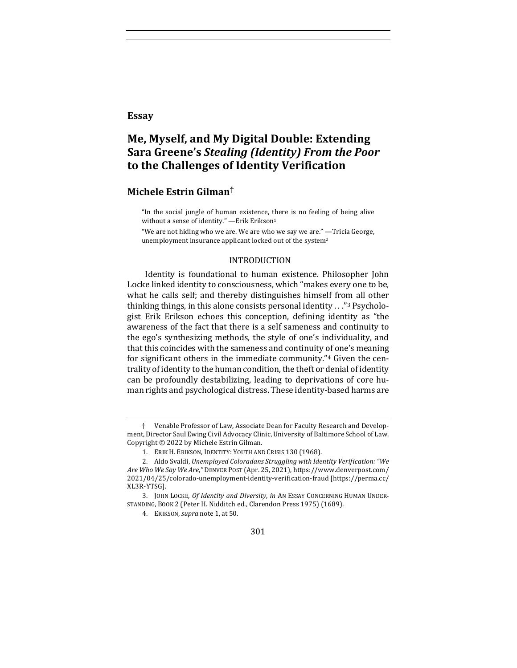#### **Essay**

### **Me, Myself, and My Digital Double: Extending Sara Greene's** *Stealing (Identity) From the Poor* **to the Challenges of Identity Verification**

#### **Michele Estrin Gilman†**

"In the social jungle of human existence, there is no feeling of being alive without a sense of identity." - Erik Erikson<sup>1</sup>

"We are not hiding who we are. We are who we say we are." —Tricia George, unemployment insurance applicant locked out of the system<sup>2</sup>

#### INTRODUCTION

Identity is foundational to human existence. Philosopher John Locke linked identity to consciousness, which "makes every one to be, what he calls self; and thereby distinguishes himself from all other thinking things, in this alone consists personal identity  $\ldots$ "<sup>3</sup> Psychologist Erik Erikson echoes this conception, defining identity as "the awareness of the fact that there is a self sameness and continuity to the ego's synthesizing methods, the style of one's individuality, and that this coincides with the sameness and continuity of one's meaning for significant others in the immediate community." $4$  Given the centrality of identity to the human condition, the theft or denial of identity can be profoundly destabilizing, leading to deprivations of core human rights and psychological distress. These identity-based harms are

301

<sup>†</sup> Venable Professor of Law, Associate Dean for Faculty Research and Development, Director Saul Ewing Civil Advocacy Clinic, University of Baltimore School of Law. Copyright  $©$  2022 by Michele Estrin Gilman.

<sup>1.</sup> ERIK H. ERIKSON, IDENTITY: YOUTH AND CRISIS 130 (1968).

<sup>2.</sup> Aldo Svaldi, *Unemployed Coloradans Struggling with Identity Verification:* "We *Are Who We Say We Are*,*"* DENVER POST (Apr. 25, 2021), https://www.denverpost.com/ 2021/04/25/colorado-unemployment-identity-verification-fraud [https://perma.cc/ XL3R-YTSG].

<sup>3.</sup> JOHN LOCKE, Of Identity and Diversity, in AN ESSAY CONCERNING HUMAN UNDER-STANDING, BOOK 2 (Peter H. Nidditch ed., Clarendon Press 1975) (1689).

<sup>4.</sup> ERIKSON,*supra* note 1, at 50.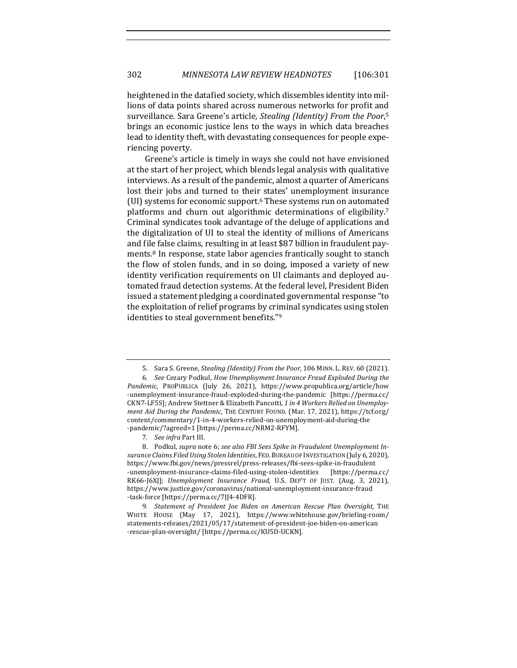heightened in the datafied society, which dissembles identity into millions of data points shared across numerous networks for profit and surveillance. Sara Greene's article, *Stealing (Identity) From the Poor*,<sup>5</sup> brings an economic justice lens to the ways in which data breaches lead to identity theft, with devastating consequences for people experiencing poverty.

Greene's article is timely in ways she could not have envisioned at the start of her project, which blends legal analysis with qualitative interviews. As a result of the pandemic, almost a quarter of Americans lost their jobs and turned to their states' unemployment insurance (UI) systems for economic support. $6$  These systems run on automated platforms and churn out algorithmic determinations of eligibility.<sup>7</sup> Criminal syndicates took advantage of the deluge of applications and the digitalization of UI to steal the identity of millions of Americans and file false claims, resulting in at least \$87 billion in fraudulent payments.<sup>8</sup> In response, state labor agencies frantically sought to stanch the flow of stolen funds, and in so doing, imposed a variety of new identity verification requirements on UI claimants and deployed automated fraud detection systems. At the federal level, President Biden issued a statement pledging a coordinated governmental response "to the exploitation of relief programs by criminal syndicates using stolen identities to steal government benefits."<sup>9</sup>

<sup>5.</sup> Sara S. Greene, *Stealing (Identity) From the Poor*, 106 MINN. L. REV. 60 (2021). 6. See Cezary Podkul, *How Unemployment Insurance Fraud Exploded During the* Pandemic, PROPUBLICA (July 26, 2021), https://www.propublica.org/article/how -unemployment-insurance-fraud-exploded-during-the-pandemic [https://perma.cc/ CKN7-LF5S]; Andrew Stettner & Elizabeth Pancotti, 1 in 4 Workers Relied on Unemploy*ment Aid During the Pandemic*, THE CENTURY FOUND. (Mar. 17, 2021), https://tcf.org/ content/commentary/1-in-4-workers-relied-on-unemployment-aid-during-the -pandemic/?agreed=1 [https://perma.cc/NRM2-RFYM].

<sup>7.</sup> *See infra* Part III.

<sup>8.</sup> Podkul, supra note 6; see also *FBI* Sees Spike in Fraudulent Unemployment Insurance Claims Filed Using Stolen Identities, FED. BUREAU OF INVESTIGATION (July 6, 2020), https://www.fbi.gov/news/pressrel/press-releases/fbi-sees-spike-in-fraudulent -unemployment-insurance-claims-filed-using-stolen-identities [https://perma.cc/ RK66-J6XJ]; *Unemployment Insurance Fraud*, U.S. DEP'T OF JUST. (Aug. 3, 2021), https://www.justice.gov/coronavirus/national-unemployment-insurance-fraud -task-force [https://perma.cc/7JJ4-4DFR]. 

<sup>9</sup>*. Statement of President Joe Biden on American Rescue Plan Oversight,* THE WHITE HOUSE (May 17, 2021), https://www.whitehouse.gov/briefing-room/ statements-releases/2021/05/17/statement-of-president-joe-biden-on-american -rescue-plan-oversight/ [https://perma.cc/KU5D-UCKN].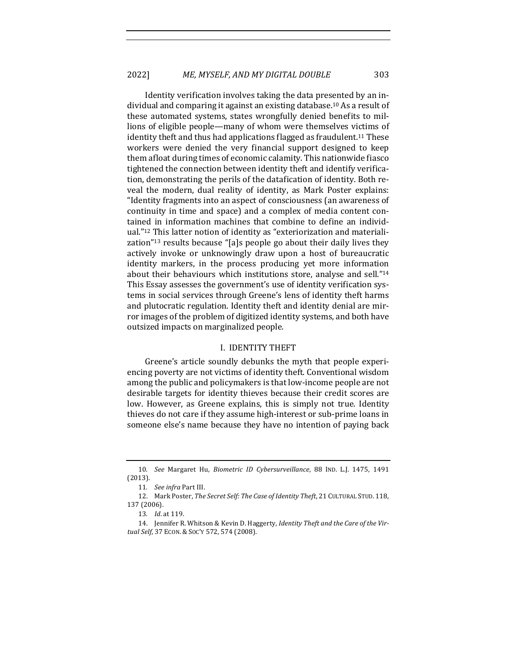Identity verification involves taking the data presented by an individual and comparing it against an existing database.<sup>10</sup> As a result of these automated systems, states wrongfully denied benefits to millions of eligible people—many of whom were themselves victims of identity theft and thus had applications flagged as fraudulent.<sup>11</sup> These workers were denied the very financial support designed to keep them afloat during times of economic calamity. This nationwide fiasco tightened the connection between identity theft and identify verification, demonstrating the perils of the datafication of identity. Both reveal the modern, dual reality of identity, as Mark Poster explains: "Identity fragments into an aspect of consciousness (an awareness of continuity in time and space) and a complex of media content contained in information machines that combine to define an individual."<sup>12</sup> This latter notion of identity as "exteriorization and materialization"<sup>13</sup> results because "[a]s people go about their daily lives they actively invoke or unknowingly draw upon a host of bureaucratic identity markers, in the process producing yet more information about their behaviours which institutions store, analyse and sell."14 This Essay assesses the government's use of identity verification systems in social services through Greene's lens of identity theft harms and plutocratic regulation. Identity theft and identity denial are mirror images of the problem of digitized identity systems, and both have outsized impacts on marginalized people.

#### I. IDENTITY THEFT

Greene's article soundly debunks the myth that people experiencing poverty are not victims of identity theft. Conventional wisdom among the public and policymakers is that low-income people are not desirable targets for identity thieves because their credit scores are low. However, as Greene explains, this is simply not true. Identity thieves do not care if they assume high-interest or sub-prime loans in someone else's name because they have no intention of paying back

<sup>10.</sup> See Margaret Hu, Biometric ID Cybersurveillance, 88 IND. L.J. 1475, 1491 (2013).

<sup>11.</sup> *See infra* Part III.

<sup>12.</sup> Mark Poster, The Secret Self: The Case of Identity Theft, 21 CULTURAL STUD. 118, 137 (2006).

<sup>13</sup>*. Id*. at 119.

<sup>14.</sup> Jennifer R. Whitson & Kevin D. Haggerty, *Identity Theft and the Care of the Virtual Self*, 37 ECON. & SOC'Y 572, 574 (2008).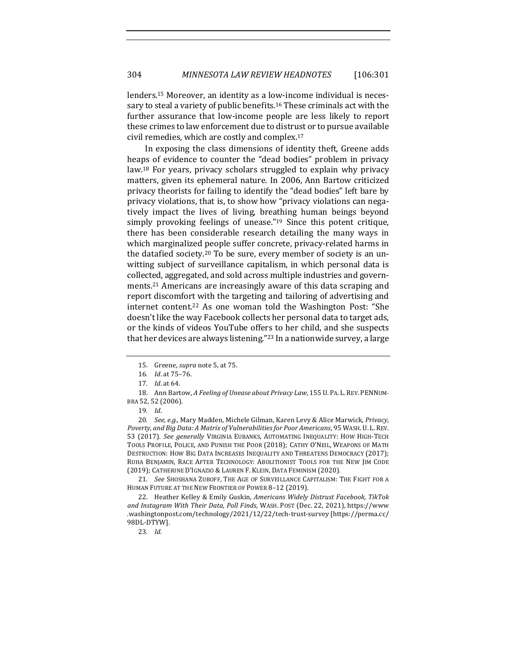lenders.<sup>15</sup> Moreover, an identity as a low-income individual is necessary to steal a variety of public benefits.<sup>16</sup> These criminals act with the further assurance that low-income people are less likely to report these crimes to law enforcement due to distrust or to pursue available civil remedies, which are costly and complex.<sup>17</sup>

In exposing the class dimensions of identity theft, Greene adds heaps of evidence to counter the "dead bodies" problem in privacy law.<sup>18</sup> For years, privacy scholars struggled to explain why privacy matters, given its ephemeral nature. In 2006, Ann Bartow criticized privacy theorists for failing to identify the "dead bodies" left bare by privacy violations, that is, to show how "privacy violations can negatively impact the lives of living, breathing human beings beyond simply provoking feelings of unease." $19$  Since this potent critique, there has been considerable research detailing the many ways in which marginalized people suffer concrete, privacy-related harms in the datafied society.<sup>20</sup> To be sure, every member of society is an unwitting subject of surveillance capitalism, in which personal data is collected, aggregated, and sold across multiple industries and governments.<sup>21</sup> Americans are increasingly aware of this data scraping and report discomfort with the targeting and tailoring of advertising and internet content.<sup>22</sup> As one woman told the Washington Post: "She doesn't like the way Facebook collects her personal data to target ads, or the kinds of videos YouTube offers to her child, and she suspects that her devices are always listening."<sup>23</sup> In a nationwide survey, a large

20. *See, e.g.*, Mary Madden, Michele Gilman, Karen Levy & Alice Marwick, *Privacy*, Poverty, and Big Data: A Matrix of Vulnerabilities for Poor Americans, 95 WASH. U. L. REV. 53 (2017). See generally VIRGINIA EUBANKS, AUTOMATING INEQUALITY: HOW HIGH-TECH TOOLS PROFILE, POLICE, AND PUNISH THE POOR (2018); CATHY O'NEIL, WEAPONS OF MATH DESTRUCTION: HOW BIG DATA INCREASES INEQUALITY AND THREATENS DEMOCRACY (2017); RUHA BENJAMIN, RACE AFTER TECHNOLOGY: ABOLITIONIST TOOLS FOR THE NEW JIM CODE (2019); CATHERINE D'IGNAZIO & LAUREN F. KLEIN, DATA FEMINISM (2020).

21. See SHOSHANA ZUBOFF, THE AGE OF SURVEILLANCE CAPITALISM: THE FIGHT FOR A HUMAN FUTURE AT THE NEW FRONTIER OF POWER 8-12 (2019).

22. Heather Kelley & Emily Guskin, *Americans Widely Distrust Facebook, TikTok* and Instagram With Their Data, Poll Finds, WASH. POST (Dec. 22, 2021), https://www .washingtonpost.com/technology/2021/12/22/tech-trust-survey [https://perma.cc/ 98DL-DTYW].

23*. Id.*

<sup>15.</sup> Greene, *supra* note 5, at 75.

<sup>16.</sup> *Id.* at 75-76.

<sup>17</sup>*. Id*. at 64.

<sup>18.</sup> Ann Bartow, A Feeling of Unease about Privacy Law, 155 U. PA. L. REV. PENNUM-BRA 52, 52 (2006).

<sup>19</sup>*. Id*.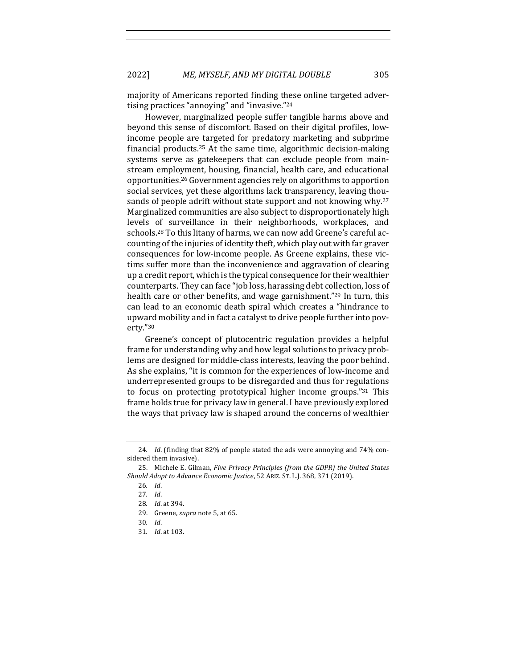majority of Americans reported finding these online targeted advertising practices "annoying" and "invasive."24

However, marginalized people suffer tangible harms above and beyond this sense of discomfort. Based on their digital profiles, lowincome people are targeted for predatory marketing and subprime financial products.<sup>25</sup> At the same time, algorithmic decision-making systems serve as gatekeepers that can exclude people from mainstream employment, housing, financial, health care, and educational opportunities.<sup>26</sup> Government agencies rely on algorithms to apportion social services, yet these algorithms lack transparency, leaving thousands of people adrift without state support and not knowing why.<sup>27</sup> Marginalized communities are also subject to disproportionately high levels of surveillance in their neighborhoods, workplaces, and schools.<sup>28</sup> To this litany of harms, we can now add Greene's careful accounting of the injuries of identity theft, which play out with far graver consequences for low-income people. As Greene explains, these victims suffer more than the inconvenience and aggravation of clearing up a credit report, which is the typical consequence for their wealthier counterparts. They can face "job loss, harassing debt collection, loss of health care or other benefits, and wage garnishment."<sup>29</sup> In turn, this can lead to an economic death spiral which creates a "hindrance to upward mobility and in fact a catalyst to drive people further into poverty."30

Greene's concept of plutocentric regulation provides a helpful frame for understanding why and how legal solutions to privacy problems are designed for middle-class interests, leaving the poor behind. As she explains, "it is common for the experiences of low-income and underrepresented groups to be disregarded and thus for regulations to focus on protecting prototypical higher income groups."<sup>31</sup> This frame holds true for privacy law in general. I have previously explored the ways that privacy law is shaped around the concerns of wealthier

<sup>24.</sup> *Id.* (finding that 82% of people stated the ads were annoying and 74% considered them invasive).

<sup>25.</sup> Michele E. Gilman, *Five Privacy Principles (from the GDPR)* the United States *Should Adopt to Advance Economic Justice*, 52 ARIZ. ST. L.J. 368, 371 (2019).

<sup>26</sup>*. Id*. 

<sup>27</sup>*. Id*.

<sup>28</sup>*. Id*. at 394. 

<sup>29.</sup> Greene, *supra* note 5, at 65.

<sup>30</sup>*. Id*.

<sup>31</sup>*. Id*. at 103.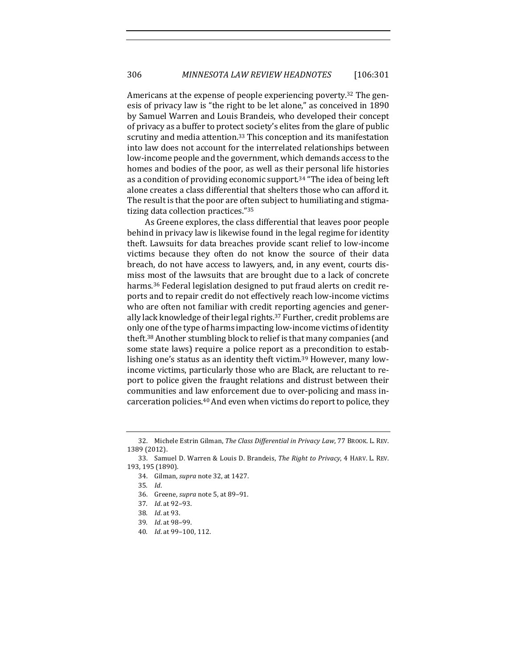Americans at the expense of people experiencing poverty.<sup>32</sup> The genesis of privacy law is "the right to be let alone," as conceived in 1890 by Samuel Warren and Louis Brandeis, who developed their concept of privacy as a buffer to protect society's elites from the glare of public scrutiny and media attention.<sup>33</sup> This conception and its manifestation into law does not account for the interrelated relationships between low-income people and the government, which demands access to the homes and bodies of the poor, as well as their personal life histories as a condition of providing economic support.<sup>34</sup> "The idea of being left alone creates a class differential that shelters those who can afford it. The result is that the poor are often subject to humiliating and stigmatizing data collection practices."<sup>35</sup>

As Greene explores, the class differential that leaves poor people behind in privacy law is likewise found in the legal regime for identity theft. Lawsuits for data breaches provide scant relief to low-income victims because they often do not know the source of their data breach, do not have access to lawyers, and, in any event, courts dismiss most of the lawsuits that are brought due to a lack of concrete harms.<sup>36</sup> Federal legislation designed to put fraud alerts on credit reports and to repair credit do not effectively reach low-income victims who are often not familiar with credit reporting agencies and generally lack knowledge of their legal rights.<sup>37</sup> Further, credit problems are only one of the type of harms impacting low-income victims of identity theft.<sup>38</sup> Another stumbling block to relief is that many companies (and some state laws) require a police report as a precondition to establishing one's status as an identity theft victim.<sup>39</sup> However, many lowincome victims, particularly those who are Black, are reluctant to report to police given the fraught relations and distrust between their communities and law enforcement due to over-policing and mass incarceration policies. $40$  And even when victims do report to police, they

34. Gilman, *supra* note 32, at 1427.

- 36. Greene, *supra* note 5, at 89-91.
- 37*. Id*. at 92–93.
- 38*. Id*. at 93.
- 39*. Id*. at 98–99.
- 40*. Id*. at 99–100, 112.

<sup>32.</sup> Michele Estrin Gilman, *The Class Differential in Privacy Law*, 77 BROOK. L. REV. 1389 (2012).

<sup>33.</sup> Samuel D. Warren & Louis D. Brandeis, *The Right to Privacy*, 4 HARV. L. REV. 193, 195 (1890).

<sup>35</sup>*. Id*.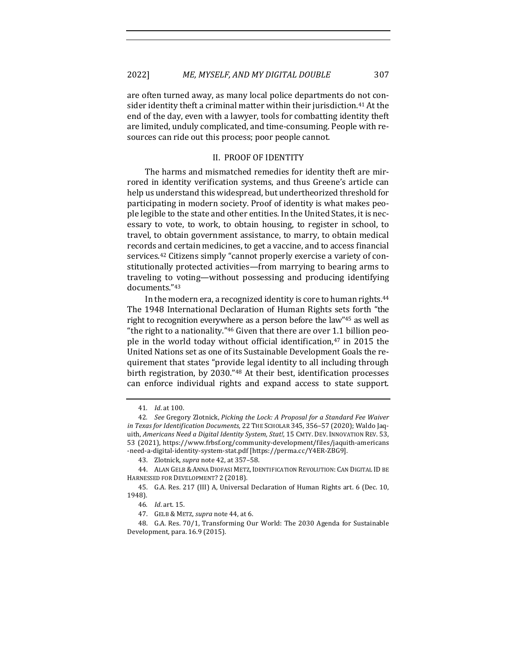are often turned away, as many local police departments do not consider identity theft a criminal matter within their jurisdiction.<sup>41</sup> At the end of the day, even with a lawyer, tools for combatting identity theft are limited, unduly complicated, and time-consuming. People with resources can ride out this process; poor people cannot.

#### II. PROOF OF IDENTITY

The harms and mismatched remedies for identity theft are mirrored in identity verification systems, and thus Greene's article can help us understand this widespread, but undertheorized threshold for participating in modern society. Proof of identity is what makes people legible to the state and other entities. In the United States, it is necessary to vote, to work, to obtain housing, to register in school, to travel, to obtain government assistance, to marry, to obtain medical records and certain medicines, to get a vaccine, and to access financial services.<sup>42</sup> Citizens simply "cannot properly exercise a variety of constitutionally protected activities—from marrying to bearing arms to traveling to voting—without possessing and producing identifying documents."43

In the modern era, a recognized identity is core to human rights. $44$ The 1948 International Declaration of Human Rights sets forth "the right to recognition everywhere as a person before the law"<sup>45</sup> as well as "the right to a nationality."<sup>46</sup> Given that there are over 1.1 billion people in the world today without official identification, $47$  in 2015 the United Nations set as one of its Sustainable Development Goals the requirement that states "provide legal identity to all including through birth registration, by 2030."<sup>48</sup> At their best, identification processes can enforce individual rights and expand access to state support.

<sup>41</sup>*. Id*. at 100.

<sup>42</sup>*. See* Gregory Zlotnick, *Picking the Lock: A Proposal for a Standard Fee Waiver in Texas for Identif ication Documents,* 22 THE SCHOLAR 345, 356–57 (2020); Waldo Jaquith, *Americans Need a Digital Identity System, Stat!*, 15 CMTY. DEV. INNOVATION REV. 53, 53 (2021), https://www.frbsf.org/community-development/files/jaquith-americans -need-a-digital-identity-system-stat.pdf [https://perma.cc/Y4ER-ZBG9].

<sup>43.</sup> Zlotnick, *supra* note 42, at 357-58.

<sup>44.</sup> ALAN GELB & ANNA DIOFASI METZ, IDENTIFICATION REVOLUTION: CAN DIGITAL ID BE HARNESSED FOR DEVELOPMENT? 2 (2018).

<sup>45.</sup> G.A. Res. 217 (III) A, Universal Declaration of Human Rights art. 6 (Dec. 10, 1948).

<sup>46</sup>*. Id*. art. 15.

<sup>47.</sup> GELB & METZ, *supra* note 44, at 6.

<sup>48.</sup> G.A. Res. 70/1, Transforming Our World: The 2030 Agenda for Sustainable Development, para. 16.9 (2015).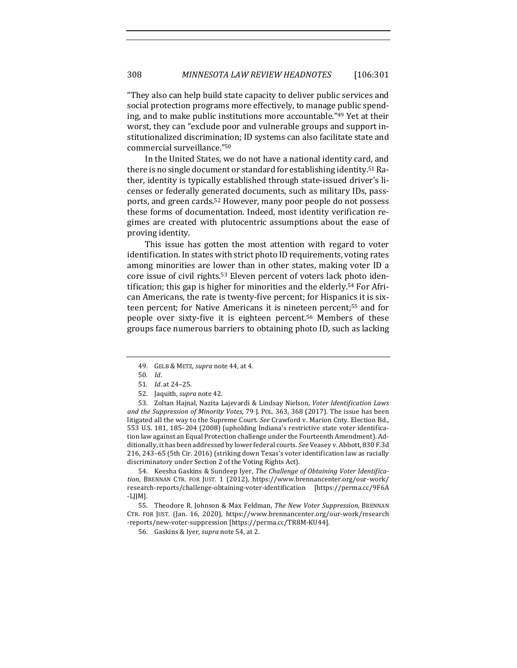"They also can help build state capacity to deliver public services and social protection programs more effectively, to manage public spending, and to make public institutions more accountable."49 Yet at their worst, they can "exclude poor and vulnerable groups and support institutionalized discrimination; ID systems can also facilitate state and commercial surveillance."50

In the United States, we do not have a national identity card, and there is no single document or standard for establishing identity.<sup>51</sup> Rather, identity is typically established through state-issued driver's licenses or federally generated documents, such as military IDs, passports, and green cards.<sup>52</sup> However, many poor people do not possess these forms of documentation. Indeed, most identity verification regimes are created with plutocentric assumptions about the ease of proving identity.

This issue has gotten the most attention with regard to voter identification. In states with strict photo ID requirements, voting rates among minorities are lower than in other states, making voter ID a core issue of civil rights.<sup>53</sup> Eleven percent of voters lack photo identification; this gap is higher for minorities and the elderly.<sup>54</sup> For African Americans, the rate is twenty-five percent; for Hispanics it is sixteen percent; for Native Americans it is nineteen percent;<sup>55</sup> and for people over sixty-five it is eighteen percent.<sup>56</sup> Members of these groups face numerous barriers to obtaining photo ID, such as lacking

53. Zoltan Hajnal, Nazita Lajevardi & Lindsay Nielson, *Voter Identif ication Laws and the Suppression of Minority Votes*, 79 J. POL. 363, 368 (2017). The issue has been litigated all the way to the Supreme Court. *See* Crawford v. Marion Cnty. Election Bd., 553 U.S. 181, 185-204 (2008) (upholding Indiana's restrictive state voter identification law against an Equal Protection challenge under the Fourteenth Amendment). Additionally, it has been addressed by lower federal courts. See Veasey v. Abbott, 830 F.3d 216, 243-65 (5th Cir. 2016) (striking down Texas's voter identification law as racially discriminatory under Section 2 of the Voting Rights Act).

54. Keesha Gaskins & Sundeep Iyer, *The Challenge of Obtaining Voter Identifica*tion, BRENNAN CTR. FOR JUST. 1 (2012), https://www.brennancenter.org/our-work/ research-reports/challenge-obtaining-voter-identification [https://perma.cc/9F6A -LJJM]. 

55. Theodore R. Johnson & Max Feldman, *The New Voter Suppression*, BRENNAN CTR. FOR JUST. (Jan. 16, 2020), https://www.brennancenter.org/our-work/research -reports/new-voter-suppression [https://perma.cc/TR8M-KU44].

56. Gaskins & Iyer, *supra* note 54, at 2.

<sup>49.</sup> GELB & METZ, *supra* note 44, at 4.

<sup>50</sup>*. Id*.

<sup>51</sup>*. Id*. at 24–25. 

<sup>52.</sup> Jaquith, *supra* note 42.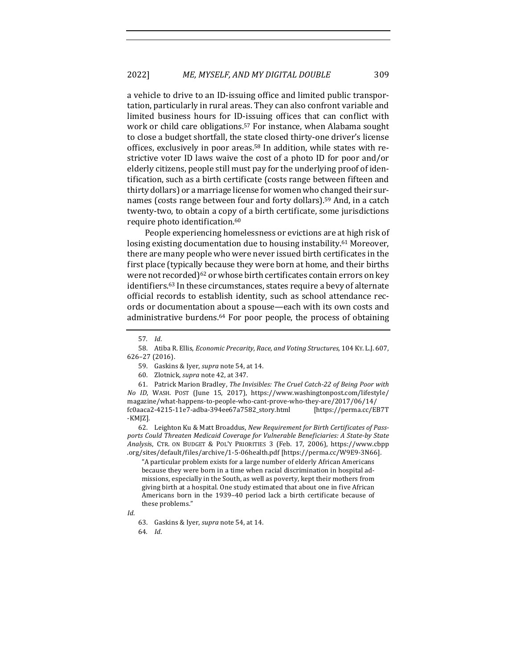a vehicle to drive to an ID-issuing office and limited public transportation, particularly in rural areas. They can also confront variable and limited business hours for ID-issuing offices that can conflict with work or child care obligations.<sup>57</sup> For instance, when Alabama sought to close a budget shortfall, the state closed thirty-one driver's license offices, exclusively in poor areas.<sup>58</sup> In addition, while states with restrictive voter ID laws waive the cost of a photo ID for poor and/or elderly citizens, people still must pay for the underlying proof of identification, such as a birth certificate (costs range between fifteen and thirty dollars) or a marriage license for women who changed their surnames (costs range between four and forty dollars).<sup>59</sup> And, in a catch twenty-two, to obtain a copy of a birth certificate, some jurisdictions require photo identification.<sup>60</sup>

People experiencing homelessness or evictions are at high risk of losing existing documentation due to housing instability.<sup>61</sup> Moreover, there are many people who were never issued birth certificates in the first place (typically because they were born at home, and their births were not recorded) $62$  or whose birth certificates contain errors on key identifiers.<sup>63</sup> In these circumstances, states require a bevy of alternate official records to establish identity, such as school attendance records or documentation about a spouse—each with its own costs and administrative burdens.<sup>64</sup> For poor people, the process of obtaining

61. Patrick Marion Bradley, *The Invisibles: The Cruel Catch-22 of Being Poor with No ID*, WASH. POST (June 15, 2017), https://www.washingtonpost.com/lifestyle/ magazine/what-happens-to-people-who-cant-prove-who-they-are/2017/06/14/ fc0aaca2-4215-11e7-adba-394ee67a7582\_story.html [https://perma.cc/EB7T -KMJZ].

62. Leighton Ku & Matt Broaddus, *New Requirement for Birth Certificates of Pass*ports Could Threaten Medicaid Coverage for Vulnerable Beneficiaries: A State-by State *Analysi*s, CTR. ON BUDGET & POL'Y PRIORITIES 3 (Feb. 17, 2006), https://www.cbpp .org/sites/default/f iles/archive/1-5-06health.pdf [https://perma.cc/W9E9-3N66]. 

"A particular problem exists for a large number of elderly African Americans because they were born in a time when racial discrimination in hospital admissions, especially in the South, as well as poverty, kept their mothers from giving birth at a hospital. One study estimated that about one in five African Americans born in the 1939-40 period lack a birth certificate because of these problems."

<sup>57</sup>*. Id*. 

<sup>58.</sup> Atiba R. Ellis, *Economic Precarity, Race, and Voting Structures*, 104 KY. L.J. 607, 626–27 (2016).

<sup>59.</sup> Gaskins & Iyer, *supra* note 54, at 14.

<sup>60.</sup> Zlotnick, *supra* note 42, at 347.

*Id*. 

<sup>63.</sup> Gaskins & Iyer, *supra* note 54, at 14.

<sup>64</sup>*. Id*.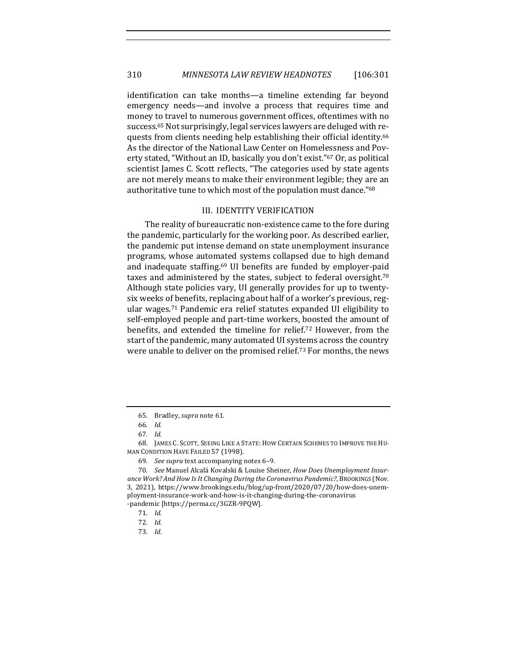identification can take months—a timeline extending far beyond emergency needs—and involve a process that requires time and money to travel to numerous government offices, oftentimes with no success.<sup>65</sup> Not surprisingly, legal services lawyers are deluged with requests from clients needing help establishing their official identity.<sup>66</sup> As the director of the National Law Center on Homelessness and Poverty stated, "Without an ID, basically you don't exist."<sup>67</sup> Or, as political scientist James C. Scott reflects, "The categories used by state agents are not merely means to make their environment legible; they are an authoritative tune to which most of the population must dance."68

#### III. IDENTITY VERIFICATION

The reality of bureaucratic non-existence came to the fore during the pandemic, particularly for the working poor. As described earlier, the pandemic put intense demand on state unemployment insurance programs, whose automated systems collapsed due to high demand and inadequate staffing.<sup>69</sup> UI benefits are funded by employer-paid taxes and administered by the states, subject to federal oversight. $70$ Although state policies vary, UI generally provides for up to twentysix weeks of benefits, replacing about half of a worker's previous, regular wages.<sup>71</sup> Pandemic era relief statutes expanded UI eligibility to self-employed people and part-time workers, boosted the amount of benefits, and extended the timeline for relief.<sup>72</sup> However, from the start of the pandemic, many automated UI systems across the country were unable to deliver on the promised relief.<sup>73</sup> For months, the news

<sup>65.</sup> Bradley, *supra* note 61.

<sup>66</sup>*. Id.*

<sup>67</sup>*. Id.*

<sup>68.</sup> JAMES C. SCOTT, SEEING LIKE A STATE: HOW CERTAIN SCHEMES TO IMPROVE THE HU-MAN CONDITION HAVE FAILED 57 (1998).

<sup>69</sup>*. See supra* text accompanying notes 6–9. 

<sup>70</sup>*. See* Manuel Alcalá Kovalski & Louise Sheiner, *How Does Unemployment Insur*ance Work? And How Is It Changing During the Coronavirus Pandemic?, BROOKINGS (Nov. 3, 2021), https://www.brookings.edu/blog/up-front/2020/07/20/how-does-unemployment-insurance-work-and-how-is-it-changing-during-the-coronavirus -pandemic [https://perma.cc/3GZR-9PQW].

<sup>71</sup>*. Id.* 

<sup>72</sup>*. Id.*

<sup>73</sup>*. Id*.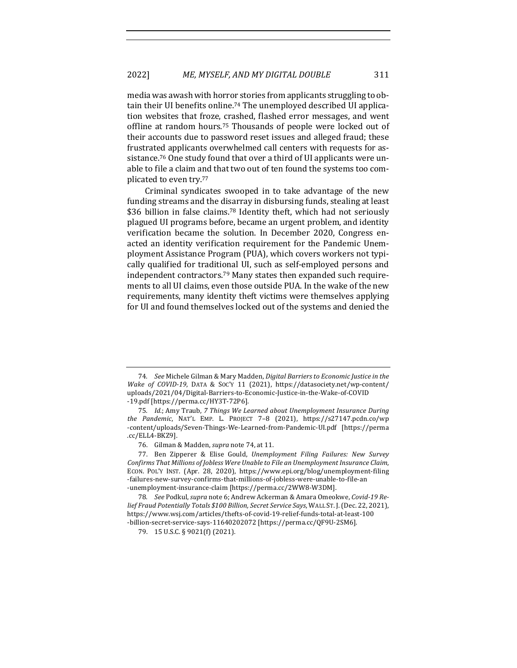media was awash with horror stories from applicants struggling to obtain their UI benefits online.<sup>74</sup> The unemployed described UI application websites that froze, crashed, flashed error messages, and went offline at random hours.<sup>75</sup> Thousands of people were locked out of their accounts due to password reset issues and alleged fraud; these frustrated applicants overwhelmed call centers with requests for assistance.<sup>76</sup> One study found that over a third of UI applicants were unable to file a claim and that two out of ten found the systems too complicated to even try.<sup>77</sup>

Criminal syndicates swooped in to take advantage of the new funding streams and the disarray in disbursing funds, stealing at least \$36 billion in false claims.<sup>78</sup> Identity theft, which had not seriously plagued UI programs before, became an urgent problem, and identity verification became the solution. In December 2020, Congress enacted an identity verification requirement for the Pandemic Unemployment Assistance Program (PUA), which covers workers not typically qualified for traditional UI, such as self-employed persons and independent contractors.<sup>79</sup> Many states then expanded such requirements to all UI claims, even those outside PUA. In the wake of the new requirements, many identity theft victims were themselves applying for UI and found themselves locked out of the systems and denied the

<sup>74.</sup> *See* Michele Gilman & Mary Madden, *Digital Barriers to Economic Justice in the Wake of COVID-19*, DATA & Soc'y 11 (2021), https://datasociety.net/wp-content/ uploads/2021/04/Digital-Barriers-to-Economic-Justice-in-the-Wake-of-COVID -19.pdf [https://perma.cc/HY3T-72P6].

<sup>75.</sup> *Id.*; Amy Traub, 7 Things We Learned about Unemployment Insurance During *the Pandemic*, NAT'L EMP. L. PROJECT 7–8 (2021), https://s27147.pcdn.co/wp -content/uploads/Seven-Things-We-Learned-from-Pandemic-UI.pdf [https://perma .cc/ELL4-BKZ9].

<sup>76.</sup> Gilman & Madden, *supra* note 74, at 11.

<sup>77.</sup> Ben Zipperer & Elise Gould, *Unemployment Filing Failures: New Survey* Confirms That Millions of Jobless Were Unable to File an Unemployment Insurance Claim, ECON. POL'Y INST. (Apr. 28, 2020), https://www.epi.org/blog/unemployment-filing -failures-new-survey-confirms-that-millions-of-jobless-were-unable-to-file-an -unemployment-insurance-claim [https://perma.cc/2WW8-W3DM].

<sup>78.</sup> See Podkul, *supra* note 6; Andrew Ackerman & Amara Omeokwe, Covid-19 Re*lief Fraud Potentially Totals* \$100 Billion, Secret Service Says, WALL ST. J. (Dec. 22, 2021), https://www.wsj.com/articles/thefts-of-covid-19-relief-funds-total-at-least-100 -billion-secret-service-says-11640202072 [https://perma.cc/QF9U-2SM6].

<sup>79. 15</sup> U.S.C. § 9021(f) (2021).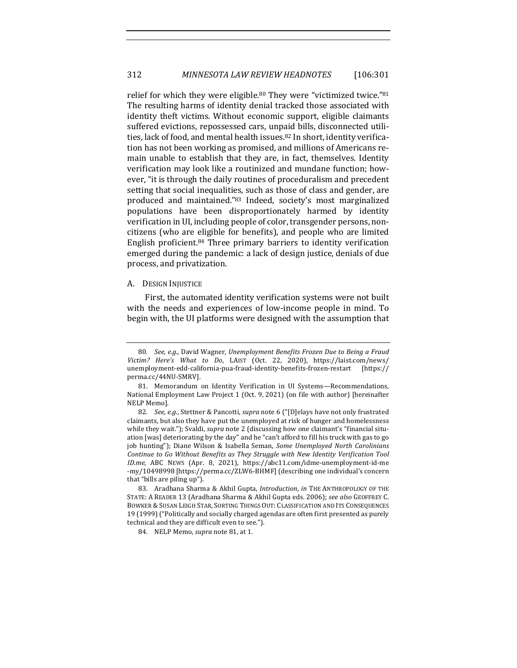relief for which they were eligible.<sup>80</sup> They were "victimized twice."<sup>81</sup> The resulting harms of identity denial tracked those associated with identity theft victims. Without economic support, eligible claimants suffered evictions, repossessed cars, unpaid bills, disconnected utilities, lack of food, and mental health issues.<sup>82</sup> In short, identity verification has not been working as promised, and millions of Americans remain unable to establish that they are, in fact, themselves. Identity verification may look like a routinized and mundane function; however, "it is through the daily routines of proceduralism and precedent setting that social inequalities, such as those of class and gender, are produced and maintained."83 Indeed, society's most marginalized populations have been disproportionately harmed by identity verification in UI, including people of color, transgender persons, noncitizens (who are eligible for benefits), and people who are limited English proficient.<sup>84</sup> Three primary barriers to identity verification emerged during the pandemic: a lack of design justice, denials of due process, and privatization.

#### A. DESIGN INJUSTICE

First, the automated identity verification systems were not built with the needs and experiences of low-income people in mind. To begin with, the UI platforms were designed with the assumption that

<sup>80.</sup> See, e.g., David Wagner, Unemployment Benefits Frozen Due to Being a Fraud *Victim? Here's What to Do*, LAIST (Oct. 22, 2020), https://laist.com/news/ unemployment-edd-california-pua-fraud-identity-benefits-frozen-restart [https:// perma.cc/44NU-SMRV].

<sup>81.</sup> Memorandum on Identity Verification in UI Systems-Recommendations, National Employment Law Project 1 (Oct. 9, 2021) (on file with author) [hereinafter NELP Memo].

<sup>82.</sup> *See, e.g.*, Stettner & Pancotti, *supra* note 6 ("[D]elays have not only frustrated claimants, but also they have put the unemployed at risk of hunger and homelessness while they wait."); Svaldi, *supra* note 2 (discussing how one claimant's "financial situation [was] deteriorating by the day" and he "can't afford to fill his truck with gas to go job hunting"); Diane Wilson & Isabella Seman, Some Unemployed North Carolinians *Continue to Go Without Benefits as They Struggle with New Identity Verification Tool ID.me*, ABC NEWS (Apr. 8, 2021), https://abc11.com/idme-unemployment-id-me -my/10498998 [https://perma.cc/ZLW6-BHMF] (describing one individual's concern that "bills are piling up").

<sup>83.</sup> Aradhana Sharma & Akhil Gupta, *Introduction*, *in* THE ANTHROPOLOGY OF THE STATE: A READER 13 (Aradhana Sharma & Akhil Gupta eds. 2006); see also GEOFFREY C. BOWKER & SUSAN LEIGH STAR, SORTING THINGS OUT: CLASSIFICATION AND ITS CONSEQUENCES 19 (1999) ("Politically and socially charged agendas are often first presented as purely technical and they are difficult even to see.").

<sup>84.</sup> NELP Memo, *supra* note 81, at 1.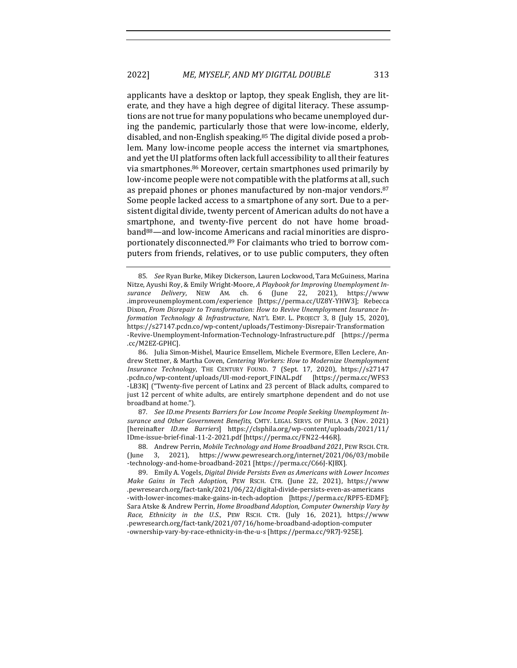applicants have a desktop or laptop, they speak English, they are literate, and they have a high degree of digital literacy. These assumptions are not true for many populations who became unemployed during the pandemic, particularly those that were low-income, elderly, disabled, and non-English speaking.<sup>85</sup> The digital divide posed a problem. Many low-income people access the internet via smartphones, and yet the UI platforms often lack full accessibility to all their features via smartphones.<sup>86</sup> Moreover, certain smartphones used primarily by low-income people were not compatible with the platforms at all, such as prepaid phones or phones manufactured by non-major vendors.<sup>87</sup> Some people lacked access to a smartphone of any sort. Due to a persistent digital divide, twenty percent of American adults do not have a smartphone, and twenty-five percent do not have home broadband<sup>88</sup>—and low-income Americans and racial minorities are disproportionately disconnected.<sup>89</sup> For claimants who tried to borrow computers from friends, relatives, or to use public computers, they often

87. See ID.me Presents Barriers for Low Income People Seeking Unemployment In*surance and Other Government Benef its*, CMTY. LEGAL SERVS. OF PHILA. 3 (Nov. 2021) [hereinafter *ID.me Barriers*] https://clsphila.org/wp-content/uploads/2021/11/ IDme-issue-brief-final-11-2-2021.pdf [https://perma.cc/FN22-446R].

<sup>85.</sup> *See* Ryan Burke, Mikey Dickerson, Lauren Lockwood, Tara McGuiness, Marina Nitze, Ayushi Roy, & Emily Wright-Moore, *A Playbook for Improving Unemployment Insurance Delivery*, NEW AM. ch. 6 (June 22, 2021), https://www .improveunemployment.com/experience [https://perma.cc/UZ8Y-YHW3]; Rebecca Dixon, *From Disrepair to Transformation: How to Revive Unemployment Insurance Information Technology & Infrastructure*, NAT'L EMP. L. PROJECT 3, 8 (July 15, 2020), https://s27147.pcdn.co/wp-content/uploads/Testimony-Disrepair-Transformation -Revive-Unemployment-Information-Technology-Infrastructure.pdf [https://perma .cc/M2EZ-GPHC].

<sup>86.</sup> Julia Simon-Mishel, Maurice Emsellem, Michele Evermore, Ellen Leclere, Andrew Stettner, & Martha Coven, *Centering Workers: How to Modernize Unemployment Insurance Technology*, THE CENTURY FOUND. 7 (Sept. 17, 2020), https://s27147 .pcdn.co/wp-content/uploads/UI-mod-report\_F INAL.pdf [https://perma.cc/WFS3 -LB3K] ("Twenty-five percent of Latinx and 23 percent of Black adults, compared to just 12 percent of white adults, are entirely smartphone dependent and do not use broadband at home.").

<sup>88.</sup> Andrew Perrin, Mobile Technology and Home Broadband 2021, PEW RSCH. CTR. (June 3, 2021), https://www.pewresearch.org/internet/2021/06/03/mobile -technology-and-home-broadband-2021 [https://perma.cc/C66J-KJBX].

<sup>89.</sup> Emily A. Vogels, *Digital Divide Persists Even as Americans with Lower Incomes Make Gains in Tech Adoption*, PEW RSCH. CTR. (June 22, 2021), https://www .pewresearch.org/fact-tank/2021/06/22/digital-divide-persists-even-as-americans -with-lower-incomes-make-gains-in-tech-adoption [https://perma.cc/RPF5-EDMF]; Sara Atske & Andrew Perrin, *Home Broadband Adoption, Computer Ownership Vary by Race, Ethnicity in the U.S.*, PEW RSCH. CTR. (July 16, 2021), https://www .pewresearch.org/fact-tank/2021/07/16/home-broadband-adoption-computer -ownership-vary-by-race-ethnicity-in-the-u-s [https://perma.cc/9R7J-925E].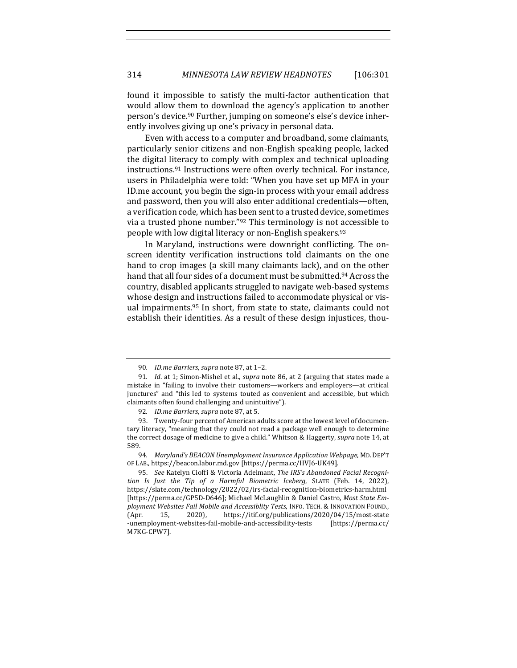found it impossible to satisfy the multi-factor authentication that would allow them to download the agency's application to another person's device.<sup>90</sup> Further, jumping on someone's else's device inherently involves giving up one's privacy in personal data.

Even with access to a computer and broadband, some claimants, particularly senior citizens and non-English speaking people, lacked the digital literacy to comply with complex and technical uploading instructions.<sup>91</sup> Instructions were often overly technical. For instance, users in Philadelphia were told: "When you have set up MFA in your ID.me account, you begin the sign-in process with your email address and password, then you will also enter additional credentials—often, a verification code, which has been sent to a trusted device, sometimes via a trusted phone number."<sup>92</sup> This terminology is not accessible to people with low digital literacy or non-English speakers.<sup>93</sup>

In Maryland, instructions were downright conflicting. The onscreen identity verification instructions told claimants on the one hand to crop images (a skill many claimants lack), and on the other hand that all four sides of a document must be submitted.<sup>94</sup> Across the country, disabled applicants struggled to navigate web-based systems whose design and instructions failed to accommodate physical or visual impairments.<sup>95</sup> In short, from state to state, claimants could not establish their identities. As a result of these design injustices, thou-

<sup>90.</sup> *ID.me Barriers, supra* note 87, at 1-2.

<sup>91.</sup> *Id.* at 1; Simon-Mishel et al., *supra* note 86, at 2 (arguing that states made a mistake in "failing to involve their customers—workers and employers—at critical junctures" and "this led to systems touted as convenient and accessible, but which claimants often found challenging and unintuitive").

<sup>92.</sup> *ID.me Barriers, supra* note 87, at 5.

<sup>93.</sup> Twenty-four percent of American adults score at the lowest level of documentary literacy, "meaning that they could not read a package well enough to determine the correct dosage of medicine to give a child." Whitson & Haggerty, *supra* note 14, at 589.

<sup>94.</sup> Maryland's BEACON Unemployment Insurance Application Webpage, MD. DEP'T OF LAB., https://beacon.labor.md.gov [https://perma.cc/HVJ6-UK49].

<sup>95.</sup> *See* Katelyn Cioffi & Victoria Adelmant, The IRS's Abandoned Facial Recogni*tion Is Just the Tip of a Harmful Biometric Iceberg*, SLATE (Feb. 14, 2022), https://slate.com/technology/2022/02/irs-facial-recognition-biometrics-harm.html [https://perma.cc/GP5D-D646]; Michael McLaughlin & Daniel Castro, Most State Em*ployment Websites Fail Mobile and Accessiblity Tests*, INFO. TECH. & INNOVATION FOUND., (Apr. 15, 2020), https://itif.org/publications/2020/04/15/most-state -unemployment-websites-fail-mobile-and-accessibility-tests [https://perma.cc/ M7KG-CPW7].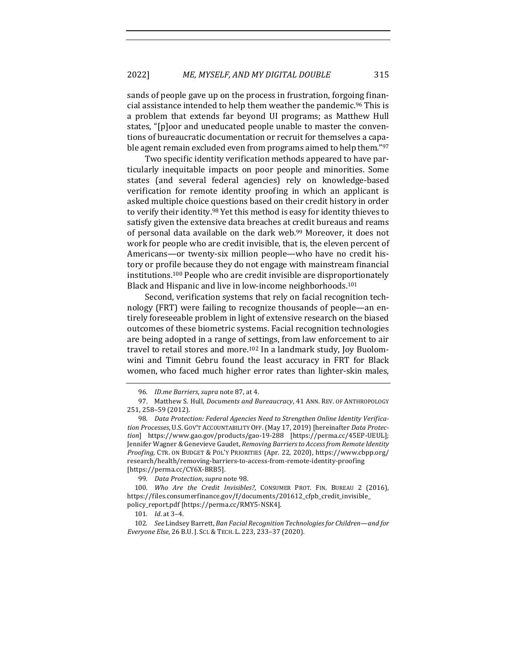sands of people gave up on the process in frustration, forgoing financial assistance intended to help them weather the pandemic.<sup>96</sup> This is a problem that extends far beyond UI programs; as Matthew Hull states, "[p]oor and uneducated people unable to master the conventions of bureaucratic documentation or recruit for themselves a capable agent remain excluded even from programs aimed to help them."97

Two specific identity verification methods appeared to have particularly inequitable impacts on poor people and minorities. Some states (and several federal agencies) rely on knowledge-based verification for remote identity proofing in which an applicant is asked multiple choice questions based on their credit history in order to verify their identity.<sup>98</sup> Yet this method is easy for identity thieves to satisfy given the extensive data breaches at credit bureaus and reams of personal data available on the dark web.<sup>99</sup> Moreover, it does not work for people who are credit invisible, that is, the eleven percent of Americans—or twenty-six million people—who have no credit history or profile because they do not engage with mainstream financial institutions.<sup>100</sup> People who are credit invisible are disproportionately Black and Hispanic and live in low-income neighborhoods.<sup>101</sup>

Second, verification systems that rely on facial recognition technology (FRT) were failing to recognize thousands of people—an entirely foreseeable problem in light of extensive research on the biased outcomes of these biometric systems. Facial recognition technologies are being adopted in a range of settings, from law enforcement to air travel to retail stores and more.<sup>102</sup> In a landmark study, Joy Buolomwini and Timnit Gebru found the least accuracy in FRT for Black women, who faced much higher error rates than lighter-skin males,

<sup>96.</sup> *ID.me Barriers, supra* note 87, at 4.

<sup>97.</sup> Matthew S. Hull, *Documents and Bureaucracy*, 41 ANN. REV. OF ANTHROPOLOGY 251, 258–59 (2012). 

<sup>98.</sup> Data Protection: Federal Agencies Need to Strengthen Online Identity Verification Processes, U.S. GOV'T ACCOUNTABILITY OFF. (May 17, 2019) [hereinafter *Data Protection*] https://www.gao.gov/products/gao-19-288 [https://perma.cc/45EP-UEUL]; Jennifer Wagner & Genevieve Gaudet, *Removing Barriers to Access from Remote Identity Proofing,* CTR. ON BUDGET & POL'Y PRIORITIES (Apr. 22, 2020), https://www.cbpp.org/ research/health/removing-barriers-to-access-from-remote-identity-proofing [https://perma.cc/CY6X-BRB5].

<sup>99.</sup> *Data Protection, supra* note 98.

<sup>100.</sup> Who Are the Credit Invisibles?, CONSUMER PROT. FIN. BUREAU 2 (2016), https://files.consumerfinance.gov/f/documents/201612\_cfpb\_credit\_invisible\_ policy\_report.pdf [https://perma.cc/RMY5-NSK4].

<sup>101.</sup> *Id.* at 3-4.

<sup>102.</sup> See Lindsey Barrett, *Ban Facial Recognition Technologies for Children—and for Everyone Else*, 26 B.U. J. SCI. & TECH. L. 223, 233–37 (2020).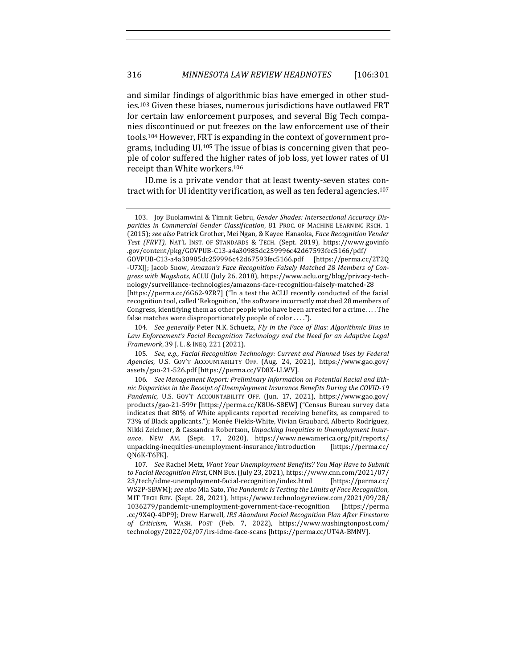and similar findings of algorithmic bias have emerged in other studies.<sup>103</sup> Given these biases, numerous jurisdictions have outlawed FRT for certain law enforcement purposes, and several Big Tech companies discontinued or put freezes on the law enforcement use of their tools.<sup>104</sup> However, FRT is expanding in the context of government programs, including UI.<sup>105</sup> The issue of bias is concerning given that people of color suffered the higher rates of job loss, yet lower rates of UI receipt than White workers.<sup>106</sup>

ID.me is a private vendor that at least twenty-seven states contract with for UI identity verification, as well as ten federal agencies.<sup>107</sup>

<sup>103.</sup> Joy Buolamwini & Timnit Gebru, Gender Shades: Intersectional Accuracy Disparities in Commercial Gender Classification, 81 PROC. OF MACHINE LEARNING RSCH. 1 (2015); see also Patrick Grother, Mei Ngan, & Kayee Hanaoka, *Face Recognition Vender* Test (FRVT), NAT'L INST. OF STANDARDS & TECH. (Sept. 2019), https://www.govinfo .gov/content/pkg/GOVPUB-C13-a4a30985dc259996c42d67593fec5166/pdf/

GOVPUB-C13-a4a30985dc259996c42d67593fec5166.pdf [https://perma.cc/2T2Q -U7X]]; Jacob Snow, *Amazon's Face Recognition Falsely Matched 28 Members of Congress with Mugshots*, ACLU (July 26, 2018), https://www.aclu.org/blog/privacy-technology/surveillance-technologies/amazons-face-recognition-falsely-matched-28

<sup>[</sup>https://perma.cc/6G62-9ZR7] ("In a test the ACLU recently conducted of the facial recognition tool, called 'Rekognition,' the software incorrectly matched 28 members of Congress, identifying them as other people who have been arrested for a crime.  $\dots$  The false matches were disproportionately people of color  $\dots$ .").

<sup>104.</sup> *See generally* Peter N.K. Schuetz, *Fly in the Face of Bias: Algorithmic Bias in* Law Enforcement's Facial Recognition Technology and the Need for an Adaptive Legal *Framework*, 39 J. L. & INEQ. 221 (2021).

<sup>105.</sup> See, e.g., Facial Recognition Technology: Current and Planned Uses by Federal *Agencies*, U.S. GOV'T ACCOUNTABILITY OFF. (Aug. 24, 2021), https://www.gao.gov/ assets/gao-21-526.pdf [https://perma.cc/VD8X-LLWV].

<sup>106.</sup> See Management Report: Preliminary Information on Potential Racial and Ethnic Disparities in the Receipt of Unemployment Insurance Benefits During the COVID-19 Pandemic, U.S. GOV'T ACCOUNTABILITY OFF. (Jun. 17, 2021), https://www.gao.gov/ products/gao-21-599r [https://perma.cc/K8U6-S8EW] ("Census Bureau survey data indicates that 80% of White applicants reported receiving benefits, as compared to 73% of Black applicants."); Monée Fields-White, Vivian Graubard, Alberto Rodríguez, Nikki Zeichner, & Cassandra Robertson, Unpacking Inequities in Unemployment Insur*ance*, NEW AM. (Sept. 17, 2020), https://www.newamerica.org/pit/reports/ unpacking-inequities-unemployment-insurance/introduction [https://perma.cc/ QN6K-T6FK]. 

<sup>107.</sup> See Rachel Metz, Want Your Unemployment Benefits? You May Have to Submit *to Facial Recognition F irst*, CNN BUS. (July 23, 2021), https://www.cnn.com/2021/07/ 23/tech/idme-unemployment-facial-recognition/index.html [https://perma.cc/ WS2P-SBWM]; see also Mia Sato, *The Pandemic Is Testing the Limits of Face Recognition*, MIT TECH REV. (Sept. 28, 2021), https://www.technologyreview.com/2021/09/28/ 1036279/pandemic-unemployment-government-face-recognition [https://perma .cc/9X4Q-4DP9]; Drew Harwell, *IRS Abandons Facial Recognition Plan After Firestorm of Criticism*, WASH. POST (Feb. 7, 2022), https://www.washingtonpost.com/ technology/2022/02/07/irs-idme-face-scans [https://perma.cc/UT4A-BMNV].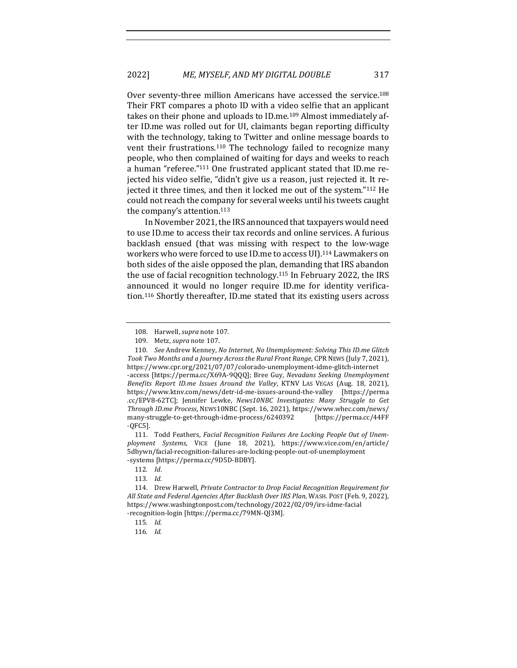Over seventy-three million Americans have accessed the service.<sup>108</sup> Their FRT compares a photo ID with a video selfie that an applicant takes on their phone and uploads to ID.me.<sup>109</sup> Almost immediately after ID.me was rolled out for UI, claimants began reporting difficulty with the technology, taking to Twitter and online message boards to vent their frustrations.<sup>110</sup> The technology failed to recognize many people, who then complained of waiting for days and weeks to reach a human "referee."<sup>111</sup> One frustrated applicant stated that ID.me rejected his video selfie, "didn't give us a reason, just rejected it. It rejected it three times, and then it locked me out of the system."112 He could not reach the company for several weeks until his tweets caught the company's attention. $113$ 

In November 2021, the IRS announced that taxpayers would need to use ID.me to access their tax records and online services. A furious backlash ensued (that was missing with respect to the low-wage workers who were forced to use ID.me to access UI).<sup>114</sup> Lawmakers on both sides of the aisle opposed the plan, demanding that IRS abandon the use of facial recognition technology.<sup>115</sup> In February 2022, the IRS announced it would no longer require ID.me for identity verification.<sup>116</sup> Shortly thereafter, ID.me stated that its existing users across

111. Todd Feathers, *Facial Recognition Failures Are Locking People Out of Unemployment Systems*, VICE (June 18, 2021), https://www.vice.com/en/article/ 5dbywn/facial-recognition-failures-are-locking-people-out-of-unemployment -systems [https://perma.cc/9D5D-BDBY].

<sup>108.</sup> Harwell, *supra* note 107.

<sup>109.</sup> Metz, *supra* note 107.

<sup>110.</sup> *See* Andrew Kenney, *No Internet, No Unemployment: Solving This ID.me Glitch* Took Two Months and a Journey Across the Rural Front Range, CPR NEWS (July 7, 2021), https://www.cpr.org/2021/07/07/colorado-unemployment-idme-glitch-internet -access [https://perma.cc/X69A-9QQQ]; Bree Guy, *Nevadans Seeking Unemployment* Benefits Report ID.me Issues Around the Valley, KTNV LAS VEGAS (Aug. 18, 2021), https://www.ktnv.com/news/detr-id-me-issues-around-the-valley [https://perma .cc/EPV8-62TC]; Jennifer Lewke, *News10NBC Investigates: Many Struggle to Get Through ID.me Process*, NEWS10NBC (Sept. 16, 2021), https://www.whec.com/news/ many-struggle-to-get-through-idme-process/6240392 [https://perma.cc/44FF -QFC5].

<sup>112</sup>*. Id*. 

<sup>113</sup>*. Id.*

<sup>114.</sup> Drew Harwell, *Private Contractor to Drop Facial Recognition Requirement for* All State and Federal Agencies After Backlash Over IRS Plan, WASH. POST (Feb. 9, 2022), https://www.washingtonpost.com/technology/2022/02/09/irs-idme-facial -recognition-login [https://perma.cc/79MN-QJ3M].

<sup>115</sup>*. Id.*

<sup>116</sup>*. Id.*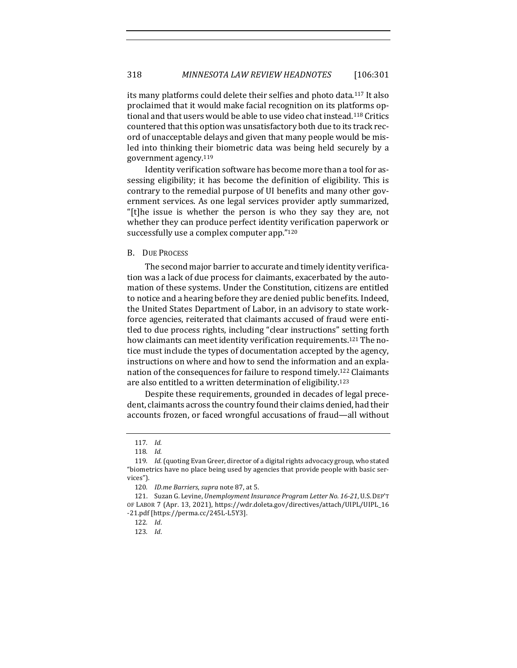its many platforms could delete their selfies and photo data.<sup>117</sup> It also proclaimed that it would make facial recognition on its platforms optional and that users would be able to use video chat instead.<sup>118</sup> Critics countered that this option was unsatisfactory both due to its track record of unacceptable delays and given that many people would be misled into thinking their biometric data was being held securely by a government agency.<sup>119</sup>

Identity verification software has become more than a tool for assessing eligibility; it has become the definition of eligibility. This is contrary to the remedial purpose of UI benefits and many other government services. As one legal services provider aptly summarized, "[t]he issue is whether the person is who they say they are, not whether they can produce perfect identity verification paperwork or successfully use a complex computer app."120

#### B. DUE PROCESS

The second major barrier to accurate and timely identity verification was a lack of due process for claimants, exacerbated by the automation of these systems. Under the Constitution, citizens are entitled to notice and a hearing before they are denied public benefits. Indeed, the United States Department of Labor, in an advisory to state workforce agencies, reiterated that claimants accused of fraud were entitled to due process rights, including "clear instructions" setting forth how claimants can meet identity verification requirements.<sup>121</sup> The notice must include the types of documentation accepted by the agency, instructions on where and how to send the information and an explanation of the consequences for failure to respond timely.<sup>122</sup> Claimants are also entitled to a written determination of eligibility.<sup>123</sup>

Despite these requirements, grounded in decades of legal precedent, claimants across the country found their claims denied, had their accounts frozen, or faced wrongful accusations of fraud-all without

<sup>117</sup>*. Id.*

<sup>118</sup>*. Id.*

<sup>119.</sup> *Id.* (quoting Evan Greer, director of a digital rights advocacy group, who stated "biometrics have no place being used by agencies that provide people with basic services"). 

<sup>120.</sup> *ID.me Barriers, supra* note 87, at 5.

<sup>121.</sup> Suzan G. Levine, *Unemployment Insurance Program Letter No. 16-21*, U.S. DEP'T OF LABOR 7 (Apr. 13, 2021), https://wdr.doleta.gov/directives/attach/UIPL/UIPL\_16 -21.pdf [https://perma.cc/245L-L5Y3].

<sup>122</sup>*. Id*.

<sup>123</sup>*. Id*.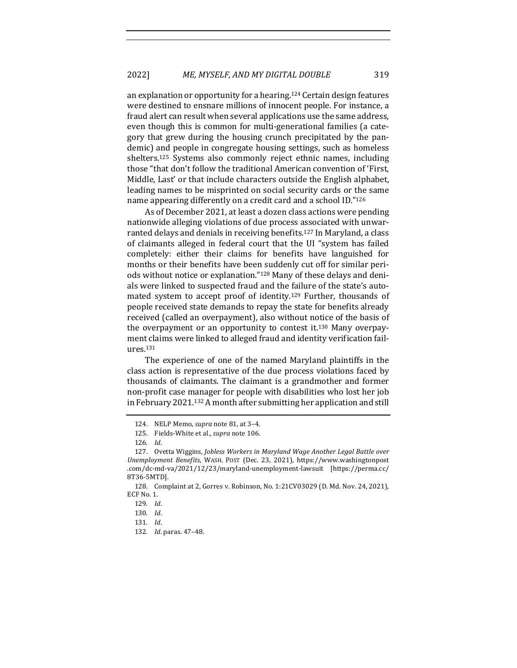an explanation or opportunity for a hearing.<sup>124</sup> Certain design features were destined to ensnare millions of innocent people. For instance, a fraud alert can result when several applications use the same address, even though this is common for multi-generational families (a category that grew during the housing crunch precipitated by the pandemic) and people in congregate housing settings, such as homeless shelters.<sup>125</sup> Systems also commonly reject ethnic names, including those "that don't follow the traditional American convention of 'First, Middle, Last' or that include characters outside the English alphabet, leading names to be misprinted on social security cards or the same name appearing differently on a credit card and a school ID."126

As of December 2021, at least a dozen class actions were pending nationwide alleging violations of due process associated with unwarranted delays and denials in receiving benefits.<sup>127</sup> In Maryland, a class of claimants alleged in federal court that the UI "system has failed completely: either their claims for benefits have languished for months or their benefits have been suddenly cut off for similar periods without notice or explanation."<sup>128</sup> Many of these delays and denials were linked to suspected fraud and the failure of the state's automated system to accept proof of identity.<sup>129</sup> Further, thousands of people received state demands to repay the state for benefits already received (called an overpayment), also without notice of the basis of the overpayment or an opportunity to contest it. $130$  Many overpayment claims were linked to alleged fraud and identity verification failures.131

The experience of one of the named Maryland plaintiffs in the class action is representative of the due process violations faced by thousands of claimants. The claimant is a grandmother and former non-profit case manager for people with disabilities who lost her job in February 2021.<sup>132</sup> A month after submitting her application and still

<sup>124.</sup> NELP Memo, *supra* note 81, at 3-4.

<sup>125.</sup> Fields-White et al., *supra* note 106.

<sup>126</sup>*. Id*. 

<sup>127.</sup> Ovetta Wiggins, *Jobless Workers in Maryland Wage Another Legal Battle over Unemployment Benef its*, WASH. POST (Dec. 23, 2021), https://www.washingtonpost .com/dc-md-va/2021/12/23/maryland-unemployment-lawsuit [https://perma.cc/ 8T36-5MTD].

<sup>128.</sup> Complaint at 2, Gorres v. Robinson, No. 1:21CV03029 (D. Md. Nov. 24, 2021), ECF No. 1.

<sup>129</sup>*. Id*.

<sup>130</sup>*. Id*.

<sup>131</sup>*. Id*.

<sup>132</sup>*. Id*. paras. 47–48.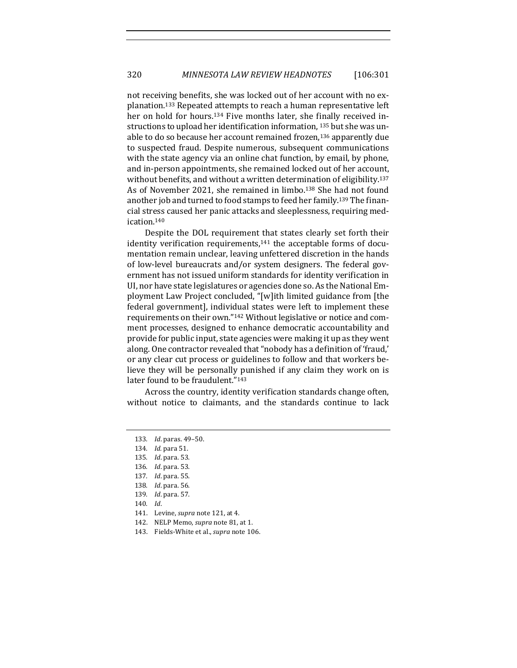not receiving benefits, she was locked out of her account with no explanation.<sup>133</sup> Repeated attempts to reach a human representative left her on hold for hours.<sup>134</sup> Five months later, she finally received instructions to upload her identification information,  $^{135}$  but she was unable to do so because her account remained frozen, $136$  apparently due to suspected fraud. Despite numerous, subsequent communications with the state agency via an online chat function, by email, by phone, and in-person appointments, she remained locked out of her account, without benefits, and without a written determination of eligibility.<sup>137</sup> As of November 2021, she remained in limbo.<sup>138</sup> She had not found another job and turned to food stamps to feed her family.<sup>139</sup> The financial stress caused her panic attacks and sleeplessness, requiring medication.140

Despite the DOL requirement that states clearly set forth their identity verification requirements, $141$  the acceptable forms of documentation remain unclear, leaving unfettered discretion in the hands of low-level bureaucrats and/or system designers. The federal government has not issued uniform standards for identity verification in UI, nor have state legislatures or agencies done so. As the National Employment Law Project concluded, "[w]ith limited guidance from [the federal government], individual states were left to implement these requirements on their own."<sup>142</sup> Without legislative or notice and comment processes, designed to enhance democratic accountability and provide for public input, state agencies were making it up as they went along. One contractor revealed that "nobody has a definition of 'fraud,' or any clear cut process or guidelines to follow and that workers believe they will be personally punished if any claim they work on is later found to be fraudulent."143

Across the country, identity verification standards change often, without notice to claimants, and the standards continue to lack

- 142. NELP Memo, *supra* note 81, at 1.
- 143. Fields-White et al., *supra* note 106.

<sup>133.</sup> *Id.* paras. 49-50.

<sup>134</sup>*. Id.* para 51.

<sup>135</sup>*. Id*. para. 53.

<sup>136</sup>*. Id*. para. 53.

<sup>137</sup>*. Id*. para. 55.

<sup>138</sup>*. Id*. para. 56. 

<sup>139</sup>*. Id*. para. 57.

<sup>140</sup>*. Id*. 

<sup>141.</sup> Levine, *supra* note 121, at 4.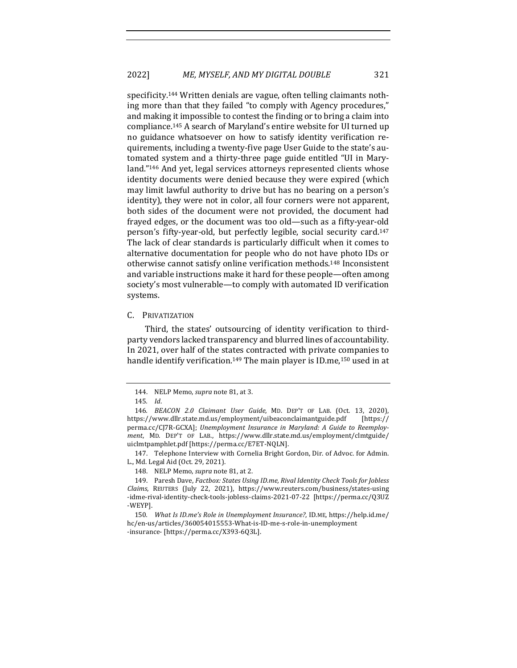specificity.<sup>144</sup> Written denials are vague, often telling claimants nothing more than that they failed "to comply with Agency procedures," and making it impossible to contest the finding or to bring a claim into compliance.<sup>145</sup> A search of Maryland's entire website for UI turned up no guidance whatsoever on how to satisfy identity verification requirements, including a twenty-five page User Guide to the state's automated system and a thirty-three page guide entitled "UI in Maryland."<sup>146</sup> And yet, legal services attorneys represented clients whose identity documents were denied because they were expired (which may limit lawful authority to drive but has no bearing on a person's identity), they were not in color, all four corners were not apparent, both sides of the document were not provided, the document had frayed edges, or the document was too old—such as a fifty-year-old person's fifty-year-old, but perfectly legible, social security card.<sup>147</sup> The lack of clear standards is particularly difficult when it comes to alternative documentation for people who do not have photo IDs or otherwise cannot satisfy online verification methods.<sup>148</sup> Inconsistent and variable instructions make it hard for these people—often among society's most vulnerable—to comply with automated ID verification systems. 

#### C. PRIVATIZATION

Third, the states' outsourcing of identity verification to thirdparty vendors lacked transparency and blurred lines of accountability. In 2021, over half of the states contracted with private companies to handle identify verification.<sup>149</sup> The main player is ID.me,<sup>150</sup> used in at

147. Telephone Interview with Cornelia Bright Gordon, Dir. of Advoc. for Admin. L., Md. Legal Aid (Oct. 29, 2021).

<sup>144.</sup> NELP Memo, *supra* note 81, at 3.

<sup>145</sup>*. Id*.

<sup>146</sup>*. BEACON 2.0 Claimant User Guide*, MD. DEP'T OF LAB. (Oct. 13, 2020), https://www.dllr.state.md.us/employment/uibeaconclaimantguide.pdf [https:// perma.cc/CJ7R-GCXA]; *Unemployment Insurance in Maryland: A Guide to Reemployment*, MD. DEP'T OF LAB., https://www.dllr.state.md.us/employment/clmtguide/ uiclmtpamphlet.pdf [https://perma.cc/E7ET-NQLN].

<sup>148.</sup> NELP Memo, *supra* note 81, at 2.

<sup>149.</sup> Paresh Dave, *Factbox: States Using ID.me, Rival Identity Check Tools for Jobless Claims*, REUTERS (July 22, 2021), https://www.reuters.com/business/states-using -idme-rival-identity-check-tools-jobless-claims-2021-07-22 [https://perma.cc/Q3UZ -WEYP]. 

<sup>150.</sup> What Is ID.me's Role in Unemployment Insurance?, ID.ME, https://help.id.me/ hc/en-us/articles/360054015553-What-is-ID-me-s-role-in-unemployment -insurance- [https://perma.cc/X393-6Q3L].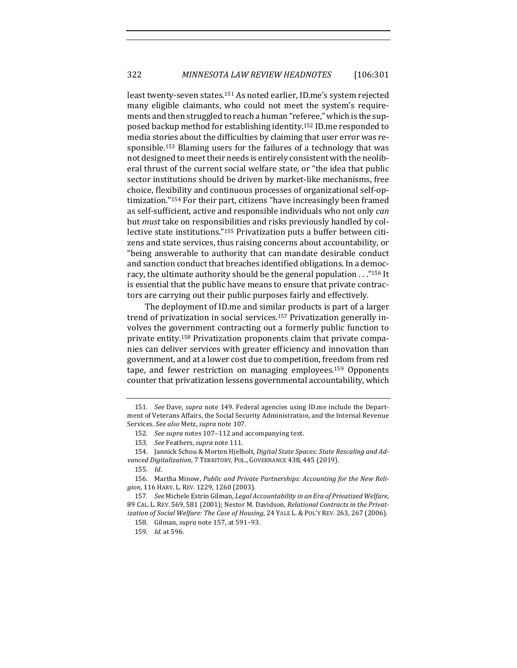least twenty-seven states.<sup>151</sup> As noted earlier, ID.me's system rejected many eligible claimants, who could not meet the system's requirements and then struggled to reach a human "referee," which is the supposed backup method for establishing identity.<sup>152</sup> ID.me responded to media stories about the difficulties by claiming that user error was responsible.<sup>153</sup> Blaming users for the failures of a technology that was not designed to meet their needs is entirely consistent with the neoliberal thrust of the current social welfare state, or "the idea that public sector institutions should be driven by market-like mechanisms, free choice, flexibility and continuous processes of organizational self-optimization."<sup>154</sup> For their part, citizens "have increasingly been framed as self-sufficient, active and responsible individuals who not only *can* but *must* take on responsibilities and risks previously handled by collective state institutions."155 Privatization puts a buffer between citizens and state services, thus raising concerns about accountability, or "being answerable to authority that can mandate desirable conduct and sanction conduct that breaches identified obligations. In a democracy, the ultimate authority should be the general population . . ."156 It is essential that the public have means to ensure that private contractors are carrying out their public purposes fairly and effectively.

The deployment of ID.me and similar products is part of a larger trend of privatization in social services.<sup>157</sup> Privatization generally involves the government contracting out a formerly public function to private entity.<sup>158</sup> Privatization proponents claim that private companies can deliver services with greater efficiency and innovation than government, and at a lower cost due to competition, freedom from red tape, and fewer restriction on managing employees.<sup>159</sup> Opponents counter that privatization lessens governmental accountability, which

<sup>151.</sup> *See* Dave, *supra* note 149. Federal agencies using ID.me include the Department of Veterans Affairs, the Social Security Administration, and the Internal Revenue Services. See also Metz, supra note 107.

<sup>152.</sup> *See supra* notes 107–112 and accompanying text.

<sup>153.</sup> *See* Feathers, *supra* note 111.

<sup>154.</sup> Jannick Schou & Morten Hjelholt, *Digital State Spaces: State Rescaling and Ad*vanced Digitalization, 7 TERRITORY, POL., GOVERNANCE 438, 445 (2019).

<sup>155</sup>*. Id*.

<sup>156.</sup> Martha Minow, Public and Private Partnerships: Accounting for the New Religion, 116 HARV. L. REV. 1229, 1260 (2003).

<sup>157.</sup> See Michele Estrin Gilman, Legal Accountability in an Era of Privatized Welfare, 89 CAL. L. REV. 569, 581 (2001); Nestor M. Davidson, *Relational Contracts in the Privatization of Social Welfare: The Case of Housing*, 24 YALE L. & POL'Y REV. 263, 267 (2006).

<sup>158.</sup> Gilman, *supra* note 157, at 591-93.

<sup>159</sup>*. Id.* at 596.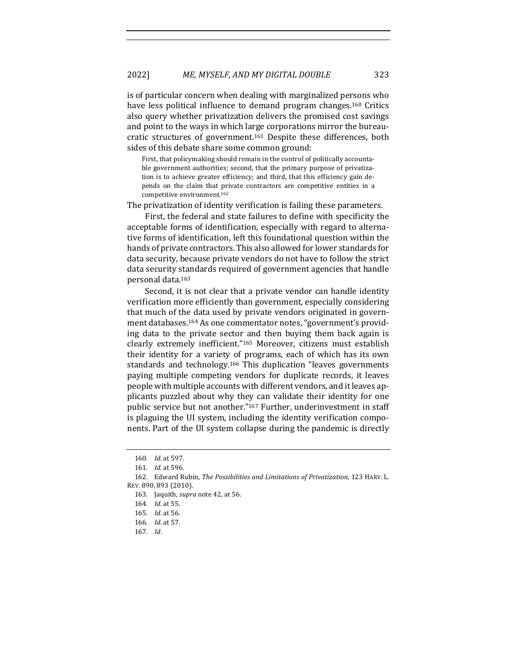is of particular concern when dealing with marginalized persons who have less political influence to demand program changes.<sup>160</sup> Critics also query whether privatization delivers the promised cost savings and point to the ways in which large corporations mirror the bureaucratic structures of government.<sup>161</sup> Despite these differences, both sides of this debate share some common ground:

First, that policymaking should remain in the control of politically accountable government authorities; second, that the primary purpose of privatization is to achieve greater efficiency; and third, that this efficiency gain depends on the claim that private contractors are competitive entities in a competitive environment.<sup>162</sup>

The privatization of identity verification is failing these parameters.

First, the federal and state failures to define with specificity the acceptable forms of identification, especially with regard to alternative forms of identification, left this foundational question within the hands of private contractors. This also allowed for lower standards for data security, because private vendors do not have to follow the strict data security standards required of government agencies that handle personal data.163

Second, it is not clear that a private vendor can handle identity verification more efficiently than government, especially considering that much of the data used by private vendors originated in government databases.<sup>164</sup> As one commentator notes, "government's providing data to the private sector and then buying them back again is clearly extremely inefficient."<sup>165</sup> Moreover, citizens must establish their identity for a variety of programs, each of which has its own standards and technology.<sup>166</sup> This duplication "leaves governments paying multiple competing vendors for duplicate records, it leaves people with multiple accounts with different vendors, and it leaves applicants puzzled about why they can validate their identity for one public service but not another."<sup>167</sup> Further, underinvestment in staff is plaguing the UI system, including the identity verification components. Part of the UI system collapse during the pandemic is directly

<sup>160.</sup> *Id.* at 597.

<sup>161.</sup> *Id.* at 596.

<sup>162.</sup> Edward Rubin, *The Possibilities and Limitations of Privatization*, 123 HARV. L. REV. 890, 893 (2010).

<sup>163.</sup> Jaquith, *supra* note 42, at 56.

<sup>164</sup>*. Id.* at 55.

<sup>165</sup>*. Id*. at 56.

<sup>166</sup>*. Id.* at 57.

<sup>167</sup>*. Id*.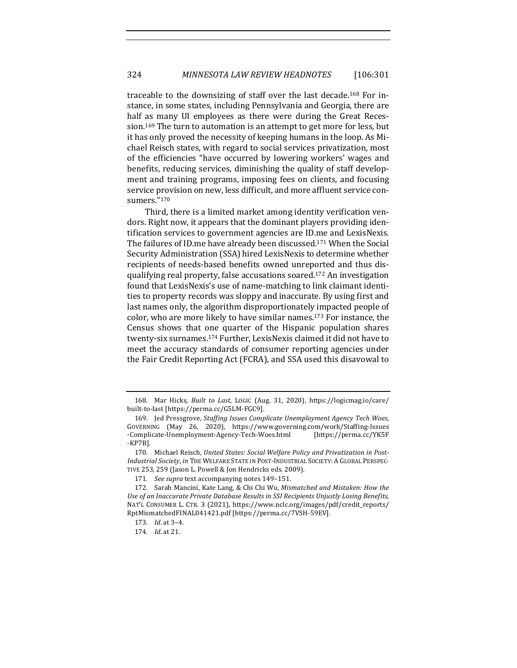traceable to the downsizing of staff over the last decade.<sup>168</sup> For instance, in some states, including Pennsylvania and Georgia, there are half as many UI employees as there were during the Great Recession.<sup>169</sup> The turn to automation is an attempt to get more for less, but it has only proved the necessity of keeping humans in the loop. As Michael Reisch states, with regard to social services privatization, most of the efficiencies "have occurred by lowering workers' wages and benefits, reducing services, diminishing the quality of staff development and training programs, imposing fees on clients, and focusing service provision on new, less difficult, and more affluent service consumers."170

Third, there is a limited market among identity verification vendors. Right now, it appears that the dominant players providing identification services to government agencies are ID.me and LexisNexis. The failures of ID.me have already been discussed.<sup>171</sup> When the Social Security Administration (SSA) hired LexisNexis to determine whether recipients of needs-based benefits owned unreported and thus disqualifying real property, false accusations soared.<sup>172</sup> An investigation found that LexisNexis's use of name-matching to link claimant identities to property records was sloppy and inaccurate. By using first and last names only, the algorithm disproportionately impacted people of color, who are more likely to have similar names.<sup>173</sup> For instance, the Census shows that one quarter of the Hispanic population shares twenty-six surnames.<sup>174</sup> Further, LexisNexis claimed it did not have to meet the accuracy standards of consumer reporting agencies under the Fair Credit Reporting Act (FCRA), and SSA used this disavowal to

<sup>168.</sup> Mar Hicks, *Built to Last*, LOGIC (Aug. 31, 2020), https://logicmag.io/care/ built-to-last [https://perma.cc/G5LM-FGC9].

<sup>169.</sup> Jed Pressgrove, *Staffing Issues Complicate Unemployment Agency Tech Woes*, GOVERNING (May 26, 2020), https://www.governing.com/work/Staffing-Issues -Complicate-Unemployment-Agency-Tech-Woes.html [https://perma.cc/YK5F -KP7B].

<sup>170.</sup> Michael Reisch, United States: Social Welfare Policy and Privatization in Post-*Industrial Society*, *in* THE WELFARE STATE IN POST-INDUSTRIAL SOCIETY: A GLOBAL PERSPEC-TIVE 253, 259 (Jason L. Powell & Jon Hendricks eds. 2009).

<sup>171.</sup> See supra text accompanying notes 149-151.

<sup>172.</sup> Sarah Mancini, Kate Lang, & Chi Chi Wu, *Mismatched and Mistaken: How the* Use of an Inaccurate Private Database Results in SSI Recipients Unjustly Losing Benefits, NAT'L CONSUMER L. CTR. 3 (2021), https://www.nclc.org/images/pdf/credit\_reports/ RptMismatchedF INAL041421.pdf [https://perma.cc/7VSH-59EV].

<sup>173</sup>*. Id*. at 3–4. 

<sup>174</sup>*. Id*. at 21.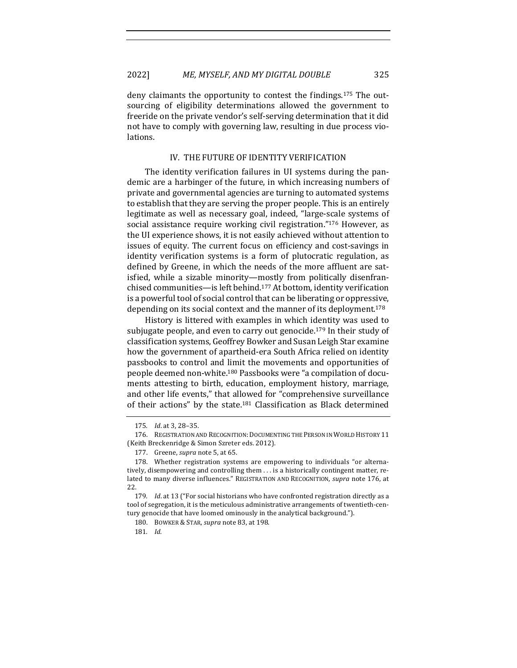deny claimants the opportunity to contest the findings.<sup>175</sup> The outsourcing of eligibility determinations allowed the government to freeride on the private vendor's self-serving determination that it did not have to comply with governing law, resulting in due process violations.

#### IV. THE FUTURE OF IDENTITY VERIFICATION

The identity verification failures in UI systems during the pandemic are a harbinger of the future, in which increasing numbers of private and governmental agencies are turning to automated systems to establish that they are serving the proper people. This is an entirely legitimate as well as necessary goal, indeed, "large-scale systems of social assistance require working civil registration."<sup>176</sup> However, as the UI experience shows, it is not easily achieved without attention to issues of equity. The current focus on efficiency and cost-savings in identity verification systems is a form of plutocratic regulation, as defined by Greene, in which the needs of the more affluent are satisfied, while a sizable minority—mostly from politically disenfranchised communities- is left behind.<sup>177</sup> At bottom, identity verification is a powerful tool of social control that can be liberating or oppressive, depending on its social context and the manner of its deployment.<sup>178</sup>

History is littered with examples in which identity was used to subjugate people, and even to carry out genocide.<sup>179</sup> In their study of classification systems, Geoffrey Bowker and Susan Leigh Star examine how the government of apartheid-era South Africa relied on identity passbooks to control and limit the movements and opportunities of people deemed non-white.<sup>180</sup> Passbooks were "a compilation of documents attesting to birth, education, employment history, marriage, and other life events," that allowed for "comprehensive surveillance of their actions" by the state.<sup>181</sup> Classification as Black determined

<sup>175</sup>*. Id*. at 3, 28–35. 

<sup>176.</sup> REGISTRATION AND RECOGNITION: DOCUMENTING THE PERSON IN WORLD HISTORY 11 (Keith Breckenridge & Simon Szreter eds. 2012).

<sup>177.</sup> Greene, *supra* note 5, at 65.

<sup>178.</sup> Whether registration systems are empowering to individuals "or alternatively, disempowering and controlling them  $\dots$  is a historically contingent matter, related to many diverse influences." REGISTRATION AND RECOGNITION, *supra* note 176, at 22.

<sup>179.</sup> *Id.* at 13 ("For social historians who have confronted registration directly as a tool of segregation, it is the meticulous administrative arrangements of twentieth-century genocide that have loomed ominously in the analytical background.").

<sup>180.</sup> BOWKER & STAR, *supra* note 83, at 198.

<sup>181</sup>*. Id.*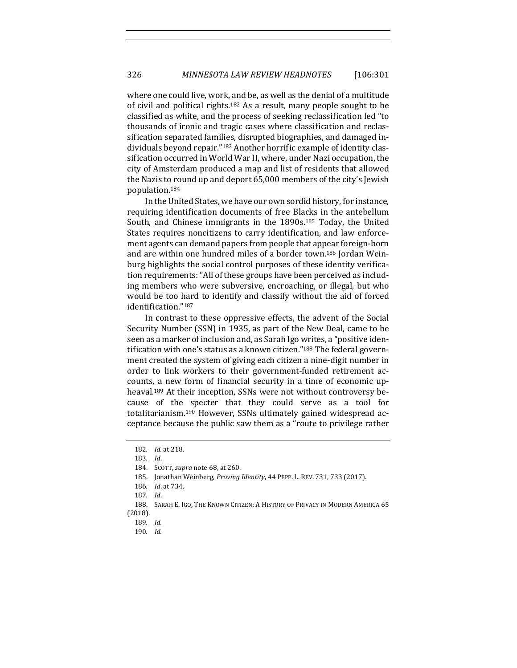where one could live, work, and be, as well as the denial of a multitude of civil and political rights.<sup>182</sup> As a result, many people sought to be classified as white, and the process of seeking reclassification led "to thousands of ironic and tragic cases where classification and reclassification separated families, disrupted biographies, and damaged individuals beyond repair."<sup>183</sup> Another horrific example of identity classification occurred in World War II, where, under Nazi occupation, the city of Amsterdam produced a map and list of residents that allowed the Nazis to round up and deport 65,000 members of the city's Jewish population.184

In the United States, we have our own sordid history, for instance, requiring identification documents of free Blacks in the antebellum South, and Chinese immigrants in the  $1890s$ .<sup>185</sup> Today, the United States requires noncitizens to carry identification, and law enforcement agents can demand papers from people that appear foreign-born and are within one hundred miles of a border town.<sup>186</sup> Jordan Weinburg highlights the social control purposes of these identity verification requirements: "All of these groups have been perceived as including members who were subversive, encroaching, or illegal, but who would be too hard to identify and classify without the aid of forced identification."<sup>187</sup>

In contrast to these oppressive effects, the advent of the Social Security Number (SSN) in 1935, as part of the New Deal, came to be seen as a marker of inclusion and, as Sarah Igo writes, a "positive identification with one's status as a known citizen."<sup>188</sup> The federal government created the system of giving each citizen a nine-digit number in order to link workers to their government-funded retirement accounts, a new form of financial security in a time of economic upheaval.<sup>189</sup> At their inception, SSNs were not without controversy because of the specter that they could serve as a tool for totalitarianism.<sup>190</sup> However, SSNs ultimately gained widespread acceptance because the public saw them as a "route to privilege rather

<sup>182</sup>*. Id.* at 218.

<sup>183</sup>*. Id*.

<sup>184.</sup> SCOTT, *supra* note 68, at 260.

<sup>185.</sup> Jonathan Weinberg, *Proving Identity*, 44 PEPP. L. REV. 731, 733 (2017).

<sup>186</sup>*. Id*. at 734.

<sup>187</sup>*. Id*.

<sup>188.</sup> SARAH E. IGO, THE KNOWN CITIZEN: A HISTORY OF PRIVACY IN MODERN AMERICA 65 (2018).

<sup>189</sup>*. Id.*

<sup>190</sup>*. Id.*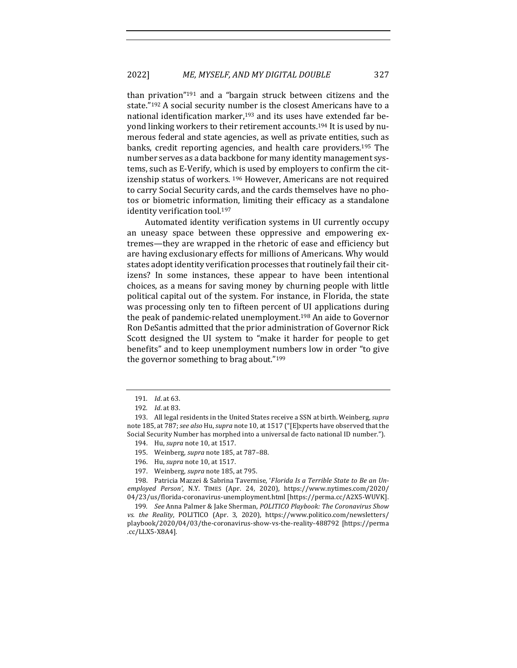than privation<sup>"191</sup> and a "bargain struck between citizens and the state."<sup>192</sup> A social security number is the closest Americans have to a national identification marker,<sup>193</sup> and its uses have extended far beyond linking workers to their retirement accounts.<sup>194</sup> It is used by numerous federal and state agencies, as well as private entities, such as banks, credit reporting agencies, and health care providers.<sup>195</sup> The number serves as a data backbone for many identity management systems, such as E-Verify, which is used by employers to confirm the citizenship status of workers. <sup>196</sup> However, Americans are not required to carry Social Security cards, and the cards themselves have no photos or biometric information, limiting their efficacy as a standalone identity verification tool.<sup>197</sup>

Automated identity verification systems in UI currently occupy an uneasy space between these oppressive and empowering extremes—they are wrapped in the rhetoric of ease and efficiency but are having exclusionary effects for millions of Americans. Why would states adopt identity verification processes that routinely fail their citizens? In some instances, these appear to have been intentional choices, as a means for saving money by churning people with little political capital out of the system. For instance, in Florida, the state was processing only ten to fifteen percent of UI applications during the peak of pandemic-related unemployment.<sup>198</sup> An aide to Governor Ron DeSantis admitted that the prior administration of Governor Rick Scott designed the UI system to "make it harder for people to get benefits" and to keep unemployment numbers low in order "to give the governor something to brag about." $199$ 

<sup>191.</sup> *Id.* at 63.

<sup>192</sup>*. Id*. at 83. 

<sup>193.</sup> All legal residents in the United States receive a SSN at birth. Weinberg, *supra* note 185, at 787; see also Hu, supra note 10, at 1517 ("[E]xperts have observed that the Social Security Number has morphed into a universal de facto national ID number.").

<sup>194.</sup> Hu, *supra* note 10, at 1517.

<sup>195.</sup> Weinberg, *supra* note 185, at 787-88.

<sup>196.</sup> Hu, *supra* note 10, at 1517.

<sup>197.</sup> Weinberg, *supra* note 185, at 795.

<sup>198.</sup> Patricia Mazzei & Sabrina Tavernise, '*Florida Is a Terrible State to Be an Unemployed Person'*, N.Y. TIMES (Apr. 24, 2020), https://www.nytimes.com/2020/ 04/23/us/florida-coronavirus-unemployment.html [https://perma.cc/A2X5-WUVK].

<sup>199.</sup> See Anna Palmer & Jake Sherman, *POLITICO Playbook: The Coronavirus Show* vs. the Reality, POLITICO (Apr. 3, 2020), https://www.politico.com/newsletters/ playbook/2020/04/03/the-coronavirus-show-vs-the-reality-488792 [https://perma .cc/LLX5-X8A4].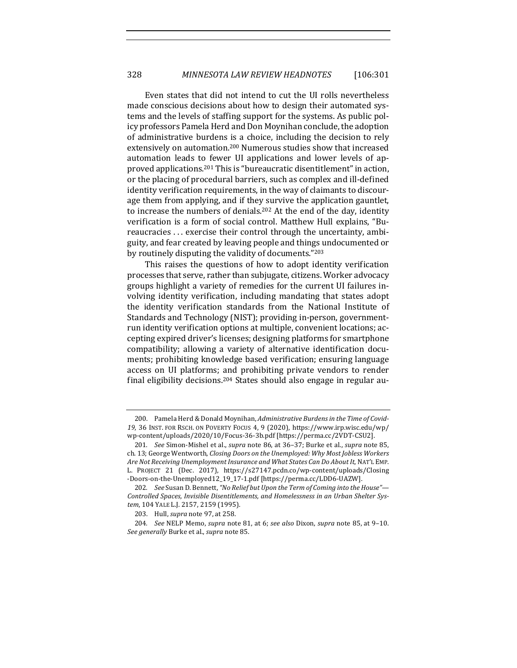Even states that did not intend to cut the UI rolls nevertheless made conscious decisions about how to design their automated systems and the levels of staffing support for the systems. As public policy professors Pamela Herd and Don Moynihan conclude, the adoption of administrative burdens is a choice, including the decision to rely extensively on automation.<sup>200</sup> Numerous studies show that increased automation leads to fewer UI applications and lower levels of approved applications.<sup>201</sup> This is "bureaucratic disentitlement" in action, or the placing of procedural barriers, such as complex and ill-defined identity verification requirements, in the way of claimants to discourage them from applying, and if they survive the application gauntlet, to increase the numbers of denials.<sup>202</sup> At the end of the day, identity verification is a form of social control. Matthew Hull explains, "Bureaucracies ... exercise their control through the uncertainty, ambiguity, and fear created by leaving people and things undocumented or by routinely disputing the validity of documents." $203$ 

This raises the questions of how to adopt identity verification processes that serve, rather than subjugate, citizens. Worker advocacy groups highlight a variety of remedies for the current UI failures involving identity verification, including mandating that states adopt the identity verification standards from the National Institute of Standards and Technology (NIST); providing in-person, governmentrun identity verification options at multiple, convenient locations; accepting expired driver's licenses; designing platforms for smartphone compatibility; allowing a variety of alternative identification documents; prohibiting knowledge based verification; ensuring language access on UI platforms; and prohibiting private vendors to render final eligibility decisions.<sup>204</sup> States should also engage in regular au-

<sup>200.</sup> Pamela Herd & Donald Moynihan, *Administrative Burdens in the Time of Covid-*19, 36 INST. FOR RSCH. ON POVERTY FOCUS 4, 9 (2020), https://www.irp.wisc.edu/wp/ wp-content/uploads/2020/10/Focus-36-3b.pdf [https://perma.cc/2VDT-CSU2].

<sup>201.</sup> *See* Simon-Mishel et al., *supra* note 86, at 36-37; Burke et al., *supra* note 85, ch. 13; George Wentworth, *Closing Doors on the Unemployed: Why Most Jobless Workers* Are Not Receiving Unemployment Insurance and What States Can Do About It, NAT'L EMP. L. PROJECT 21 (Dec. 2017), https://s27147.pcdn.co/wp-content/uploads/Closing -Doors-on-the-Unemployed12\_19\_17-1.pdf [https://perma.cc/LDD6-UAZW]. 

<sup>202.</sup> *See* Susan D. Bennett, "No Relief but Upon the Term of Coming into the House"— Controlled Spaces, Invisible Disentitlements, and Homelessness in an Urban Shelter Sys*tem*, 104 YALE L.J. 2157, 2159 (1995).

<sup>203.</sup> Hull, *supra* note 97, at 258.

<sup>204.</sup> *See* NELP Memo, *supra* note 81, at 6; *see also* Dixon, *supra* note 85, at 9-10. *See generally* Burke et al., *supra* note 85.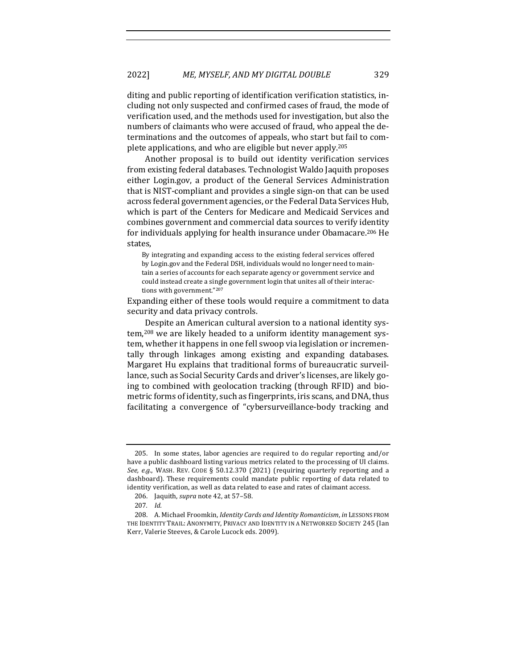diting and public reporting of identification verification statistics, including not only suspected and confirmed cases of fraud, the mode of verification used, and the methods used for investigation, but also the numbers of claimants who were accused of fraud, who appeal the determinations and the outcomes of appeals, who start but fail to complete applications, and who are eligible but never apply.<sup>205</sup>

Another proposal is to build out identity verification services from existing federal databases. Technologist Waldo Jaquith proposes either Login.gov, a product of the General Services Administration that is NIST-compliant and provides a single sign-on that can be used across federal government agencies, or the Federal Data Services Hub, which is part of the Centers for Medicare and Medicaid Services and combines government and commercial data sources to verify identity for individuals applying for health insurance under Obamacare.<sup>206</sup> He states, 

By integrating and expanding access to the existing federal services offered by Login.gov and the Federal DSH, individuals would no longer need to maintain a series of accounts for each separate agency or government service and could instead create a single government login that unites all of their interactions with government."207

Expanding either of these tools would require a commitment to data security and data privacy controls.

Despite an American cultural aversion to a national identity system,<sup>208</sup> we are likely headed to a uniform identity management system, whether it happens in one fell swoop via legislation or incrementally through linkages among existing and expanding databases. Margaret Hu explains that traditional forms of bureaucratic surveillance, such as Social Security Cards and driver's licenses, are likely going to combined with geolocation tracking (through RFID) and biometric forms of identity, such as fingerprints, iris scans, and DNA, thus facilitating a convergence of "cybersurveillance-body tracking and

<sup>205.</sup> In some states, labor agencies are required to do regular reporting and/or have a public dashboard listing various metrics related to the processing of UI claims. *See, e.g.*, WASH. REV. CODE § 50.12.370  $(2021)$  (requiring quarterly reporting and a dashboard). These requirements could mandate public reporting of data related to identity verification, as well as data related to ease and rates of claimant access.

<sup>206.</sup> Jaquith, *supra* note 42, at 57-58.

<sup>207</sup>*. Id.*

<sup>208.</sup> A. Michael Froomkin, *Identity Cards and Identity Romanticism*, *in LESSONS FROM* THE IDENTITY TRAIL: ANONYMITY, PRIVACY AND IDENTITY IN A NETWORKED SOCIETY 245 (Ian Kerr, Valerie Steeves, & Carole Lucock eds. 2009).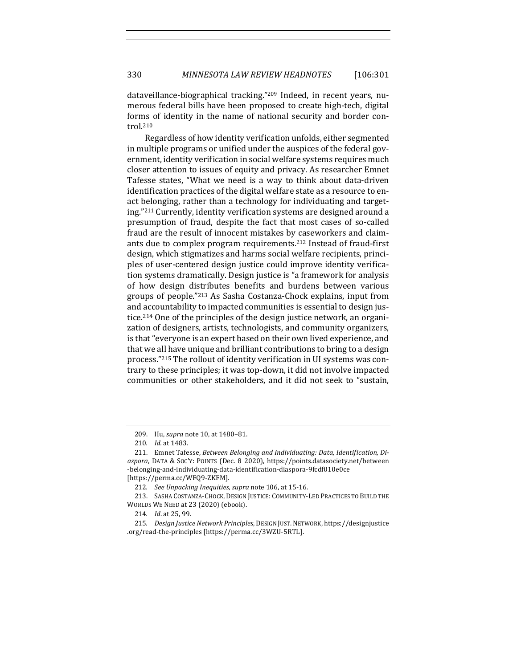dataveillance-biographical tracking."<sup>209</sup> Indeed, in recent years, numerous federal bills have been proposed to create high-tech, digital forms of identity in the name of national security and border control.210

Regardless of how identity verification unfolds, either segmented in multiple programs or unified under the auspices of the federal government, identity verification in social welfare systems requires much closer attention to issues of equity and privacy. As researcher Emnet Tafesse states, "What we need is a way to think about data-driven identification practices of the digital welfare state as a resource to enact belonging, rather than a technology for individuating and targeting."<sup>211</sup> Currently, identity verification systems are designed around a presumption of fraud, despite the fact that most cases of so-called fraud are the result of innocent mistakes by caseworkers and claimants due to complex program requirements.<sup>212</sup> Instead of fraud-first design, which stigmatizes and harms social welfare recipients, principles of user-centered design justice could improve identity verification systems dramatically. Design justice is "a framework for analysis of how design distributes benefits and burdens between various groups of people."213 As Sasha Costanza-Chock explains, input from and accountability to impacted communities is essential to design justice.<sup>214</sup> One of the principles of the design justice network, an organization of designers, artists, technologists, and community organizers, is that "everyone is an expert based on their own lived experience, and that we all have unique and brilliant contributions to bring to a design process."<sup>215</sup> The rollout of identity verification in UI systems was contrary to these principles; it was top-down, it did not involve impacted communities or other stakeholders, and it did not seek to "sustain,

<sup>209.</sup> Hu, *supra* note 10, at 1480-81.

<sup>210.</sup> *Id.* at 1483.

<sup>211.</sup> Emnet Tafesse, *Between Belonging and Individuating: Data, Identification, Diaspora*, DATA & SOC'Y: POINTS (Dec. 8 2020), https://points.datasociety.net/between -belonging-and-individuating-data-identif ication-diaspora-9fcdf010e0ce [https://perma.cc/WFQ9-ZKFM].

<sup>212.</sup> *See Unpacking Inequities, supra note* 106, at 15-16.

<sup>213.</sup> SASHA COSTANZA-CHOCK, DESIGN JUSTICE: COMMUNITY-LED PRACTICES TO BUILD THE WORLDS WE NEED at 23 (2020) (ebook).

<sup>214.</sup> *Id.* at 25, 99.

<sup>215.</sup> *Design Justice Network Principles*, DESIGN JUST. NETWORK, https://designjustice .org/read-the-principles [https://perma.cc/3WZU-5RTL].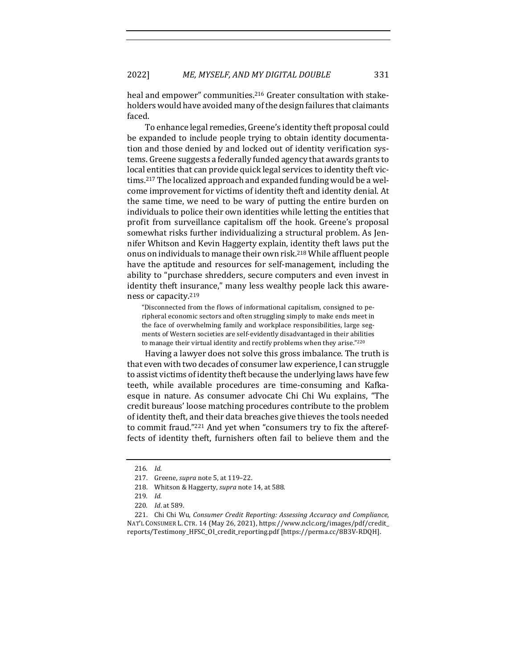heal and empower" communities.<sup>216</sup> Greater consultation with stakeholders would have avoided many of the design failures that claimants faced. 

To enhance legal remedies, Greene's identity theft proposal could be expanded to include people trying to obtain identity documentation and those denied by and locked out of identity verification systems. Greene suggests a federally funded agency that awards grants to local entities that can provide quick legal services to identity theft victims.<sup>217</sup> The localized approach and expanded funding would be a welcome improvement for victims of identity theft and identity denial. At the same time, we need to be wary of putting the entire burden on individuals to police their own identities while letting the entities that profit from surveillance capitalism off the hook. Greene's proposal somewhat risks further individualizing a structural problem. As Jennifer Whitson and Kevin Haggerty explain, identity theft laws put the onus on individuals to manage their own risk.<sup>218</sup> While affluent people have the aptitude and resources for self-management, including the ability to "purchase shredders, secure computers and even invest in identity theft insurance," many less wealthy people lack this awareness or capacity.<sup>219</sup>

"Disconnected from the flows of informational capitalism, consigned to peripheral economic sectors and often struggling simply to make ends meet in the face of overwhelming family and workplace responsibilities, large segments of Western societies are self-evidently disadvantaged in their abilities to manage their virtual identity and rectify problems when they arise."220

Having a lawyer does not solve this gross imbalance. The truth is that even with two decades of consumer law experience, I can struggle to assist victims of identity theft because the underlying laws have few teeth, while available procedures are time-consuming and Kafkaesque in nature. As consumer advocate Chi Chi Wu explains, "The credit bureaus' loose matching procedures contribute to the problem of identity theft, and their data breaches give thieves the tools needed to commit fraud."<sup>221</sup> And yet when "consumers try to fix the aftereffects of identity theft, furnishers often fail to believe them and the

<sup>216</sup>*. Id.*

<sup>217.</sup> Greene, *supra* note 5, at 119-22.

<sup>218.</sup> Whitson & Haggerty, *supra* note 14, at 588.

<sup>219</sup>*. Id.*

<sup>220</sup>*. Id*. at 589.

<sup>221.</sup> Chi Chi Wu, Consumer Credit Reporting: Assessing Accuracy and Compliance, NAT'L CONSUMER L. CTR. 14 (May 26, 2021), https://www.nclc.org/images/pdf/credit\_ reports/Testimony\_HFSC\_OI\_credit\_reporting.pdf [https://perma.cc/8B3V-RDQH].